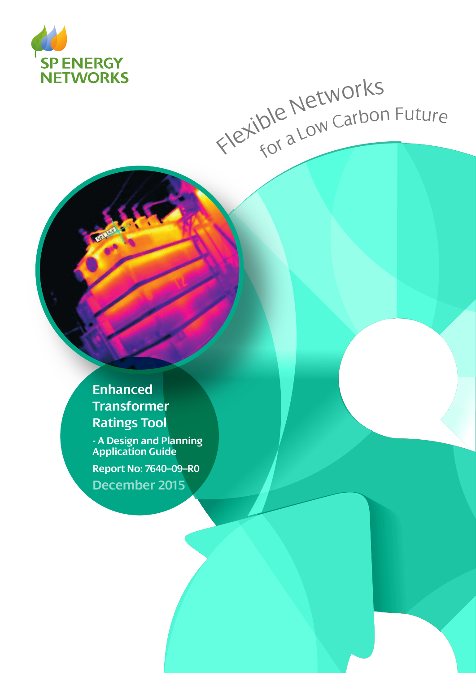

# Flexible Networks<br>Flexible Networks

**Enhanced Transformer Ratings Tool**

**- A Design and Planning Application Guide**

**Report No: 7640–09–R0 December 2015**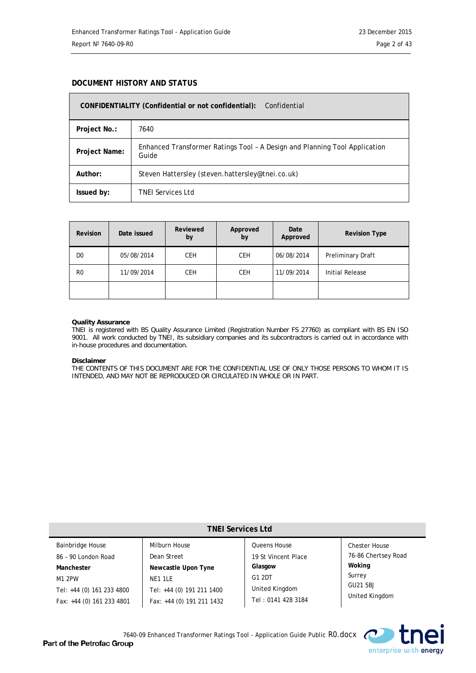#### **DOCUMENT HISTORY AND STATUS**

| CONFIDENTIALITY (Confidential or not confidential):<br>Confidential |                                                                                     |  |  |
|---------------------------------------------------------------------|-------------------------------------------------------------------------------------|--|--|
| Project No.:                                                        | 7640                                                                                |  |  |
| Project Name:                                                       | Enhanced Transformer Ratings Tool - A Design and Planning Tool Application<br>Guide |  |  |
| Author:                                                             | Steven Hattersley (steven.hattersley@tnei.co.uk)                                    |  |  |
| Issued by:                                                          | <b>TNEI Services Ltd</b>                                                            |  |  |

| <b>Revision</b> | Date issued | Reviewed<br>by | Approved<br>by | Date<br>Approved | <b>Revision Type</b>   |
|-----------------|-------------|----------------|----------------|------------------|------------------------|
| D <sub>0</sub>  | 05/08/2014  | <b>CEH</b>     | <b>CEH</b>     | 06/08/2014       | Preliminary Draft      |
| R <sub>0</sub>  | 11/09/2014  | <b>CEH</b>     | <b>CEH</b>     | 11/09/2014       | <b>Initial Release</b> |
|                 |             |                |                |                  |                        |

#### **Quality Assurance**

TNEI is registered with BS Quality Assurance Limited (Registration Number FS 27760) as compliant with BS EN ISO 9001. All work conducted by TNEI, its subsidiary companies and its subcontractors is carried out in accordance with in-house procedures and documentation.

#### **Disclaimer**

THE CONTENTS OF THIS DOCUMENT ARE FOR THE CONFIDENTIAL USE OF ONLY THOSE PERSONS TO WHOM IT IS INTENDED, AND MAY NOT BE REPRODUCED OR CIRCULATED IN WHOLE OR IN PART.

| <b>TNEI Services Ltd</b>  |                           |                     |                      |  |  |
|---------------------------|---------------------------|---------------------|----------------------|--|--|
| <b>Bainbridge House</b>   | Milburn House             | <b>Oueens House</b> | <b>Chester House</b> |  |  |
| 86 - 90 London Road       | Dean Street               | 19 St Vincent Place | 76-86 Chertsey Road  |  |  |
| Manchester                | Newcastle Upon Tyne       | Glasgow             | Woking               |  |  |
| M1 2PW                    | NE1 1LE                   | G1 2DT              | Surrey               |  |  |
| Tel: +44 (0) 161 233 4800 | Tel: +44 (0) 191 211 1400 | United Kingdom      | GU21 5BJ             |  |  |
| Fax: +44 (0) 161 233 4801 | Fax: +44 (0) 191 211 1432 | Tel: 0141 428 3184  | United Kingdom       |  |  |

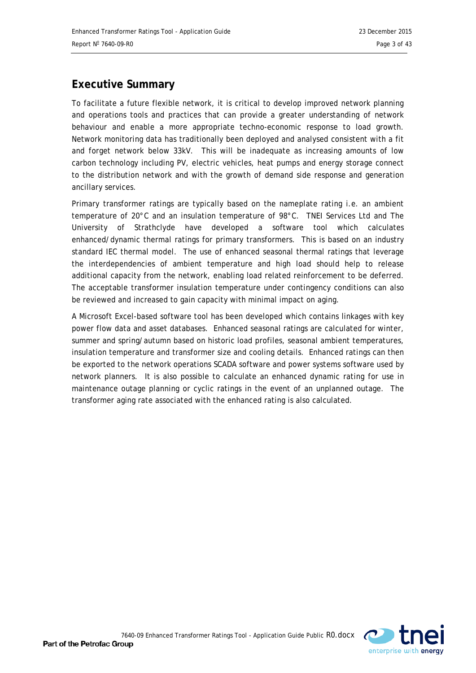# **Executive Summary**

To facilitate a future flexible network, it is critical to develop improved network planning and operations tools and practices that can provide a greater understanding of network behaviour and enable a more appropriate techno-economic response to load growth. Network monitoring data has traditionally been deployed and analysed consistent with a fit and forget network below 33kV. This will be inadequate as increasing amounts of low carbon technology including PV, electric vehicles, heat pumps and energy storage connect to the distribution network and with the growth of demand side response and generation ancillary services.

Primary transformer ratings are typically based on the nameplate rating i.e. an ambient temperature of 20°C and an insulation temperature of 98°C. TNEI Services Ltd and The University of Strathclyde have developed a software tool which calculates enhanced/dynamic thermal ratings for primary transformers. This is based on an industry standard IEC thermal model. The use of enhanced seasonal thermal ratings that leverage the interdependencies of ambient temperature and high load should help to release additional capacity from the network, enabling load related reinforcement to be deferred. The acceptable transformer insulation temperature under contingency conditions can also be reviewed and increased to gain capacity with minimal impact on aging.

A Microsoft Excel-based software tool has been developed which contains linkages with key power flow data and asset databases. Enhanced seasonal ratings are calculated for winter, summer and spring/autumn based on historic load profiles, seasonal ambient temperatures, insulation temperature and transformer size and cooling details. Enhanced ratings can then be exported to the network operations SCADA software and power systems software used by network planners. It is also possible to calculate an enhanced dynamic rating for use in maintenance outage planning or cyclic ratings in the event of an unplanned outage. The transformer aging rate associated with the enhanced rating is also calculated.

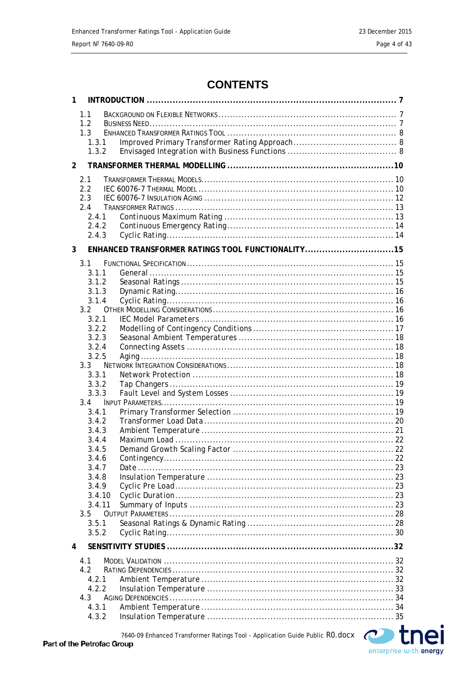# **CONTENTS**

| 1 |                                                     |                                                   |
|---|-----------------------------------------------------|---------------------------------------------------|
|   | 1.1<br>1.2<br>1.3<br>1.3.1<br>1.3.2                 |                                                   |
| 2 |                                                     |                                                   |
|   | 2.1<br>2.2<br>2.3<br>2.4<br>2.4.1<br>2.4.2<br>2.4.3 |                                                   |
| 3 |                                                     | ENHANCED TRANSFORMER RATINGS TOOL FUNCTIONALITY15 |
|   | 3.1<br>3.1.1<br>3.1.2<br>3.1.3                      |                                                   |
|   | 3.1.4                                               |                                                   |
|   | 3.2                                                 |                                                   |
|   | 3.2.1                                               |                                                   |
|   | 3.2.2                                               |                                                   |
|   | 3.2.3                                               |                                                   |
|   | 3.2.4<br>3.2.5                                      |                                                   |
|   | $3.3 -$                                             |                                                   |
|   | 3.3.1                                               |                                                   |
|   | 3.3.2                                               |                                                   |
|   | 3.3.3                                               |                                                   |
|   | 3.4                                                 |                                                   |
|   | 3.4.1                                               |                                                   |
|   | 3.4.2                                               |                                                   |
|   | 3.4.3                                               |                                                   |
|   | 3.4.4                                               |                                                   |
|   | 3.4.5                                               |                                                   |
|   | 3.4.6                                               |                                                   |
|   | 3.4.7<br>3.4.8                                      |                                                   |
|   | 3.4.9                                               |                                                   |
|   | 3.4.10                                              |                                                   |
|   | 3.4.11                                              |                                                   |
|   | 3.5                                                 |                                                   |
|   | 3.5.1                                               |                                                   |
|   | 3.5.2                                               |                                                   |
| 4 |                                                     |                                                   |
|   | 4.1                                                 |                                                   |
|   | 4.2                                                 |                                                   |
|   | 4.2.1                                               |                                                   |
|   | 4.2.2                                               |                                                   |
|   | 4.3                                                 |                                                   |
|   | 4.3.1                                               |                                                   |
|   | 4.3.2                                               |                                                   |

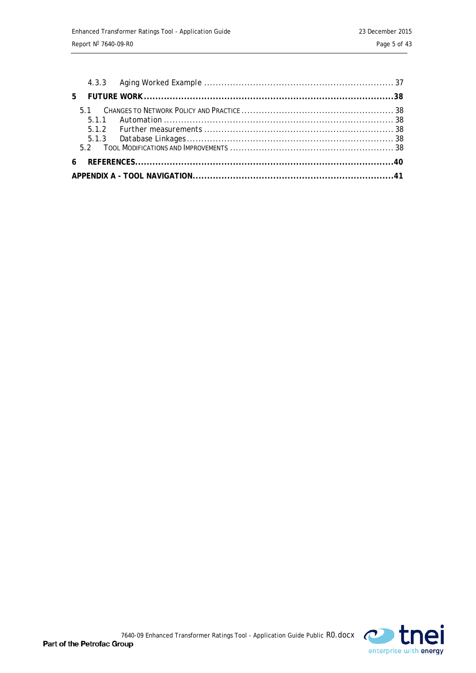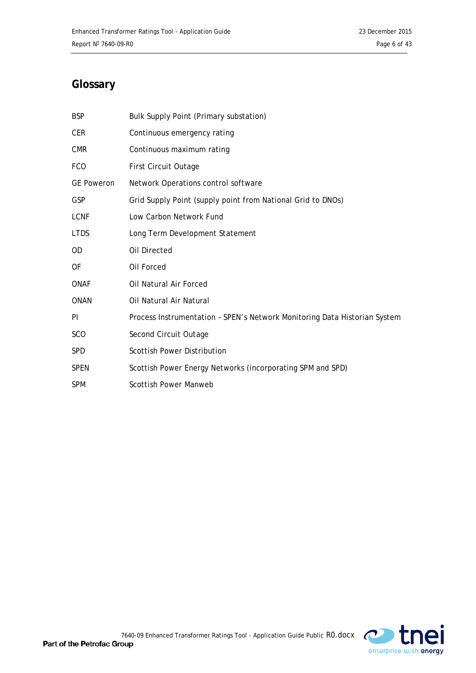# **Glossary**

| <b>BSP</b>        | Bulk Supply Point (Primary substation)                                    |
|-------------------|---------------------------------------------------------------------------|
| <b>CER</b>        | Continuous emergency rating                                               |
| <b>CMR</b>        | Continuous maximum rating                                                 |
| <b>FCO</b>        | First Circuit Outage                                                      |
| <b>GE Poweron</b> | Network Operations control software                                       |
| <b>GSP</b>        | Grid Supply Point (supply point from National Grid to DNOs)               |
| <b>LCNF</b>       | Low Carbon Network Fund                                                   |
| <b>LTDS</b>       | Long Term Development Statement                                           |
| OD.               | Oil Directed                                                              |
| 0F                | Oil Forced                                                                |
| <b>ONAF</b>       | Oil Natural Air Forced                                                    |
| <b>ONAN</b>       | Oil Natural Air Natural                                                   |
| PI                | Process Instrumentation - SPEN's Network Monitoring Data Historian System |
| <b>SCO</b>        | Second Circuit Outage                                                     |
| <b>SPD</b>        | <b>Scottish Power Distribution</b>                                        |
| <b>SPEN</b>       | Scottish Power Energy Networks (incorporating SPM and SPD)                |
| <b>SPM</b>        | <b>Scottish Power Manweb</b>                                              |

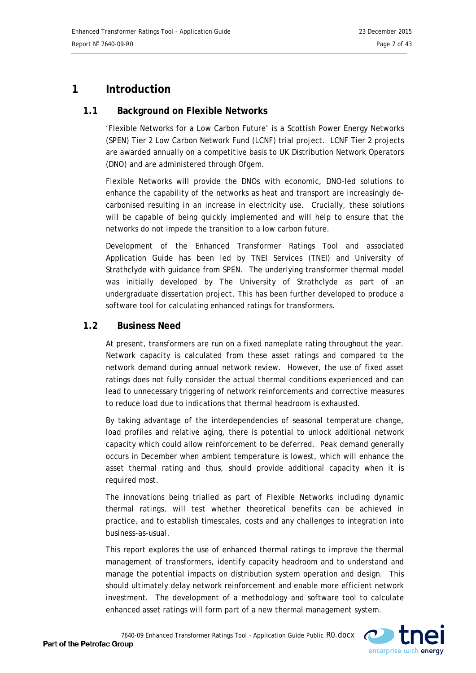# <span id="page-6-0"></span>**1 Introduction**

# <span id="page-6-1"></span>**1.1 Background on Flexible Networks**

'Flexible Networks for a Low Carbon Future' is a Scottish Power Energy Networks (SPEN) Tier 2 Low Carbon Network Fund (LCNF) trial project. LCNF Tier 2 projects are awarded annually on a competitive basis to UK Distribution Network Operators (DNO) and are administered through Ofgem.

Flexible Networks will provide the DNOs with economic, DNO-led solutions to enhance the capability of the networks as heat and transport are increasingly decarbonised resulting in an increase in electricity use. Crucially, these solutions will be capable of being quickly implemented and will help to ensure that the networks do not impede the transition to a low carbon future.

Development of the Enhanced Transformer Ratings Tool and associated Application Guide has been led by TNEI Services (TNEI) and University of Strathclyde with guidance from SPEN. The underlying transformer thermal model was initially developed by The University of Strathclyde as part of an undergraduate dissertation project. This has been further developed to produce a software tool for calculating enhanced ratings for transformers.

# <span id="page-6-2"></span>**1.2 Business Need**

At present, transformers are run on a fixed nameplate rating throughout the year. Network capacity is calculated from these asset ratings and compared to the network demand during annual network review. However, the use of fixed asset ratings does not fully consider the actual thermal conditions experienced and can lead to unnecessary triggering of network reinforcements and corrective measures to reduce load due to indications that thermal headroom is exhausted.

By taking advantage of the interdependencies of seasonal temperature change, load profiles and relative aging, there is potential to unlock additional network capacity which could allow reinforcement to be deferred. Peak demand generally occurs in December when ambient temperature is lowest, which will enhance the asset thermal rating and thus, should provide additional capacity when it is required most.

The innovations being trialled as part of Flexible Networks including dynamic thermal ratings, will test whether theoretical benefits can be achieved in practice, and to establish timescales, costs and any challenges to integration into business-as-usual.

This report explores the use of enhanced thermal ratings to improve the thermal management of transformers, identify capacity headroom and to understand and manage the potential impacts on distribution system operation and design. This should ultimately delay network reinforcement and enable more efficient network investment. The development of a methodology and software tool to calculate enhanced asset ratings will form part of a new thermal management system.

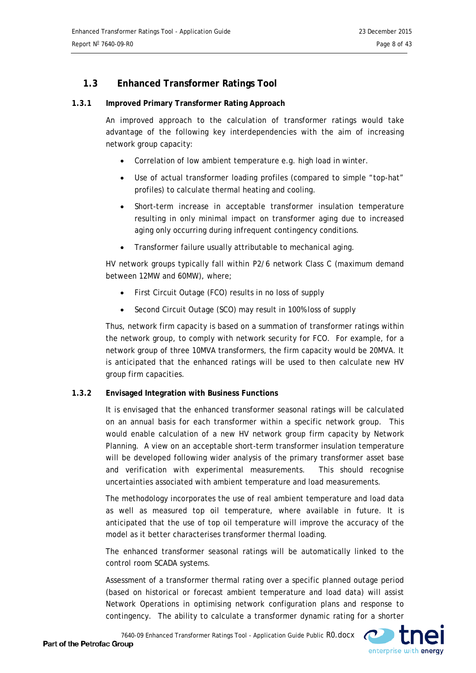# <span id="page-7-0"></span>**1.3 Enhanced Transformer Ratings Tool**

#### <span id="page-7-1"></span>**1.3.1 Improved Primary Transformer Rating Approach**

An improved approach to the calculation of transformer ratings would take advantage of the following key interdependencies with the aim of increasing network group capacity:

- Correlation of low ambient temperature e.g. high load in winter.
- Use of actual transformer loading profiles (compared to simple "top-hat" profiles) to calculate thermal heating and cooling.
- Short-term increase in acceptable transformer insulation temperature resulting in only minimal impact on transformer aging due to increased aging only occurring during infrequent contingency conditions.
- Transformer failure usually attributable to mechanical aging.

HV network groups typically fall within P2/6 network Class C (maximum demand between 12MW and 60MW), where;

- First Circuit Outage (FCO) results in no loss of supply
- Second Circuit Outage (SCO) may result in 100% loss of supply

Thus, network firm capacity is based on a summation of transformer ratings within the network group, to comply with network security for FCO. For example, for a network group of three 10MVA transformers, the firm capacity would be 20MVA. It is anticipated that the enhanced ratings will be used to then calculate new HV group firm capacities.

#### <span id="page-7-2"></span>**1.3.2 Envisaged Integration with Business Functions**

It is envisaged that the enhanced transformer seasonal ratings will be calculated on an annual basis for each transformer within a specific network group. This would enable calculation of a new HV network group firm capacity by Network Planning. A view on an acceptable short-term transformer insulation temperature will be developed following wider analysis of the primary transformer asset base and verification with experimental measurements. This should recognise uncertainties associated with ambient temperature and load measurements.

The methodology incorporates the use of real ambient temperature and load data as well as measured top oil temperature, where available in future. It is anticipated that the use of top oil temperature will improve the accuracy of the model as it better characterises transformer thermal loading.

The enhanced transformer seasonal ratings will be automatically linked to the control room SCADA systems.

Assessment of a transformer thermal rating over a specific planned outage period (based on historical or forecast ambient temperature and load data) will assist Network Operations in optimising network configuration plans and response to contingency. The ability to calculate a transformer dynamic rating for a shorter

7640-09 Enhanced Transformer Ratings Tool - Application Guide Public R0.docx

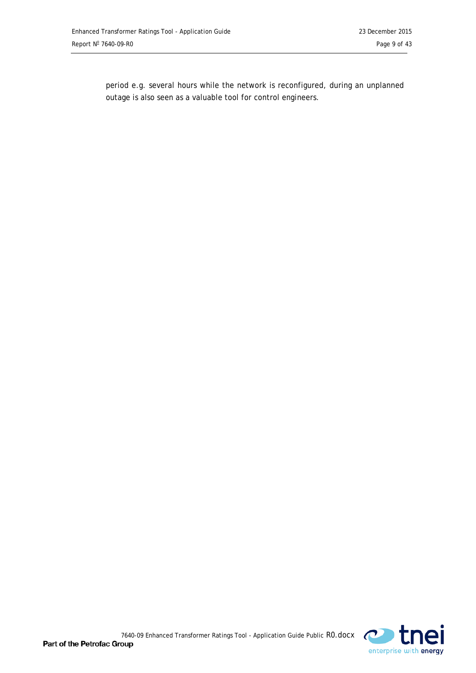period e.g. several hours while the network is reconfigured, during an unplanned outage is also seen as a valuable tool for control engineers.

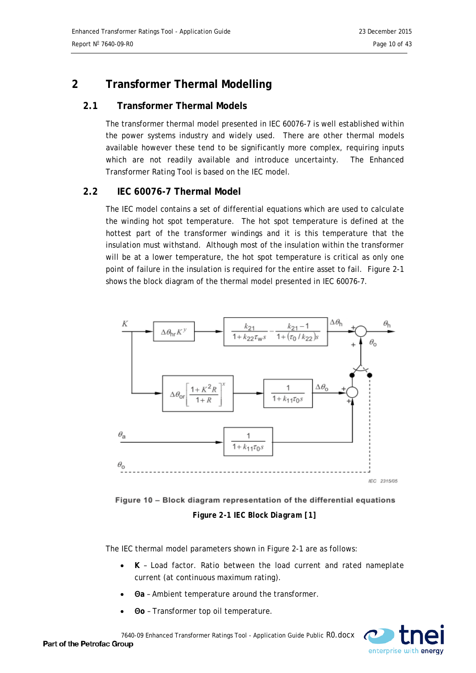# <span id="page-9-0"></span>**2 Transformer Thermal Modelling**

# <span id="page-9-1"></span>**2.1 Transformer Thermal Models**

The transformer thermal model presented in IEC 60076-7 is well established within the power systems industry and widely used. There are other thermal models available however these tend to be significantly more complex, requiring inputs which are not readily available and introduce uncertainty. The Enhanced Transformer Rating Tool is based on the IEC model.

# <span id="page-9-2"></span>**2.2 IEC 60076-7 Thermal Model**

The IEC model contains a set of differential equations which are used to calculate the winding hot spot temperature. The hot spot temperature is defined at the hottest part of the transformer windings and it is this temperature that the insulation must withstand. Although most of the insulation within the transformer will be at a lower temperature, the hot spot temperature is critical as only one point of failure in the insulation is required for the entire asset to fail. [Figure 2-1](#page-9-3) shows the block diagram of the thermal model presented in IEC 60076-7.



<span id="page-9-3"></span>Figure 10 - Block diagram representation of the differential equations *Figure 2-1 IEC Block Diagram [1]*

The IEC thermal model parameters shown in [Figure 2-1](#page-9-3) are as follows:

- **K** Load factor. Ratio between the load current and rated nameplate current (at continuous maximum rating).
- **Θa** Ambient temperature around the transformer.
- **Θo** Transformer top oil temperature.

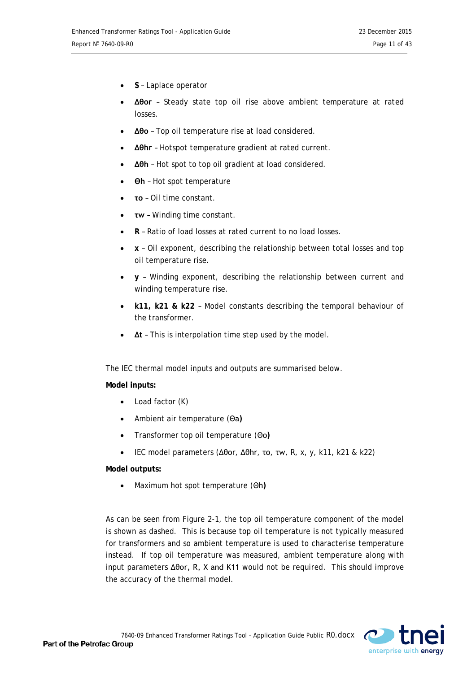- **S** Laplace operator
- **Δθor**  Steady state top oil rise above ambient temperature at rated losses.
- **Δθo** Top oil temperature rise at load considered.
- **Δθhr** Hotspot temperature gradient at rated current.
- **Δθh** Hot spot to top oil gradient at load considered.
- **Θh** Hot spot temperature
- **τo** Oil time constant.
- **τw –** Winding time constant.
- **R** Ratio of load losses at rated current to no load losses.
- **x**  Oil exponent, describing the relationship between total losses and top oil temperature rise.
- **y** Winding exponent, describing the relationship between current and winding temperature rise.
- **k11, k21 & k22** Model constants describing the temporal behaviour of the transformer.
- **Δt** This is interpolation time step used by the model.

The IEC thermal model inputs and outputs are summarised below.

#### **Model inputs:**

- Load factor (K)
- Ambient air temperature (Θa**)**
- Transformer top oil temperature (Θo**)**
- IEC model parameters (Δθor, Δθhr, τo, τw, R, x, y, k11, k21 & k22)

#### **Model outputs:**

• Maximum hot spot temperature (Θh**)**

As can be seen from [Figure 2-1,](#page-9-3) the top oil temperature component of the model is shown as dashed. This is because top oil temperature is not typically measured for transformers and so ambient temperature is used to characterise temperature instead. If top oil temperature was measured, ambient temperature along with input parameters Δθor, R, X and K11 would not be required. This should improve the accuracy of the thermal model.

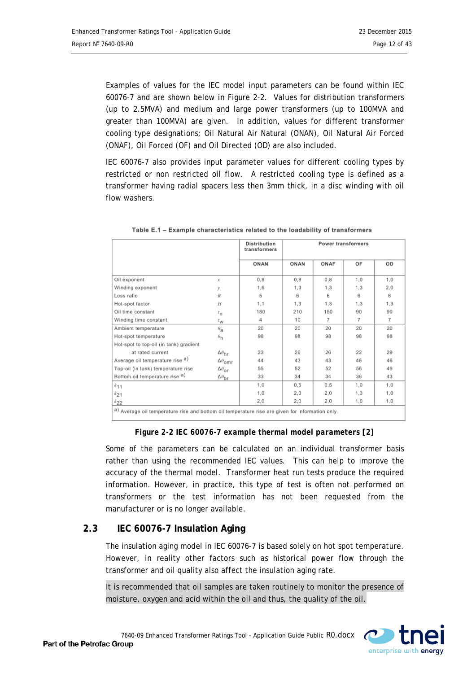Examples of values for the IEC model input parameters can be found within IEC 60076-7 and are shown below in [Figure 2-2.](#page-11-1) Values for distribution transformers (up to 2.5MVA) and medium and large power transformers (up to 100MVA and greater than 100MVA) are given. In addition, values for different transformer cooling type designations; Oil Natural Air Natural (ONAN), Oil Natural Air Forced (ONAF), Oil Forced (OF) and Oil Directed (OD) are also included.

IEC 60076-7 also provides input parameter values for different cooling types by restricted or non restricted oil flow. A restricted cooling type is defined as a transformer having radial spacers less then 3mm thick, in a disc winding with oil flow washers.

|                                                                                                 |                                   | <b>Distribution</b><br>transformers | <b>Power transformers</b> |                |                |                |
|-------------------------------------------------------------------------------------------------|-----------------------------------|-------------------------------------|---------------------------|----------------|----------------|----------------|
|                                                                                                 |                                   | ONAN                                | ONAN                      | ONAF           | OF             | OD             |
| Oil exponent                                                                                    | $\mathcal{X}$                     | 0.8                                 | 0.8                       | 0.8            | 1.0            | 1.0            |
| Winding exponent                                                                                | у                                 | 1,6                                 | 1,3                       | 1,3            | 1.3            | 2,0            |
| Loss ratio                                                                                      | R                                 | 5                                   | 6                         | 6              | 6              | 6              |
| Hot-spot factor                                                                                 | H                                 | 1,1                                 | 1,3                       | 1,3            | 1.3            | 1.3            |
| Oil time constant                                                                               | $\tau_{\mathsf{O}}$               | 180                                 | 210                       | 150            | 90             | 90             |
| Winding time constant                                                                           | $\tau_{\rm W}$                    | 4                                   | 10                        | $\overline{7}$ | $\overline{7}$ | $\overline{7}$ |
| Ambient temperature                                                                             | $\theta_{\mathbf{a}}$             | 20                                  | 20                        | 20             | 20             | 20             |
| Hot-spot temperature                                                                            | $\theta_{h}$                      | 98                                  | 98                        | 98             | 98             | 98             |
| Hot-spot to top-oil (in tank) gradient                                                          |                                   |                                     |                           |                |                |                |
| at rated current                                                                                | $\Delta\theta_{\rm hr}$           | 23                                  | 26                        | 26             | 22             | 29             |
| Average oil temperature rise a)                                                                 | $\Delta\theta_{\text{omr}}$       | 44                                  | 43                        | 43             | 46             | 46             |
| Top-oil (in tank) temperature rise                                                              | $\Delta\theta_{\text{OF}}$        | 55                                  | 52                        | 52             | 56             | 49             |
| Bottom oil temperature rise a)                                                                  | $\Delta\theta_{\mbox{\small br}}$ | 33                                  | 34                        | 34             | 36             | 43             |
| $k_{11}$                                                                                        |                                   | 1,0                                 | 0, 5                      | 0,5            | 1.0            | 1.0            |
| $k_{21}$                                                                                        |                                   | 1,0                                 | 2,0                       | 2,0            | 1.3            | 1,0            |
| $k_{22}$                                                                                        |                                   | 2,0                                 | 2,0                       | 2,0            | 1,0            | 1,0            |
| a) Average oil temperature rise and bottom oil temperature rise are given for information only. |                                   |                                     |                           |                |                |                |

Table E.1 - Example characteristics related to the loadability of transformers

# *Figure 2-2 IEC 60076-7 example thermal model parameters [2]*

<span id="page-11-1"></span>Some of the parameters can be calculated on an individual transformer basis rather than using the recommended IEC values. This can help to improve the accuracy of the thermal model. Transformer heat run tests produce the required information. However, in practice, this type of test is often not performed on transformers or the test information has not been requested from the manufacturer or is no longer available.

# <span id="page-11-0"></span>**2.3 IEC 60076-7 Insulation Aging**

The insulation aging model in IEC 60076-7 is based solely on hot spot temperature. However, in reality other factors such as historical power flow through the transformer and oil quality also affect the insulation aging rate.

It is recommended that oil samples are taken routinely to monitor the presence of moisture, oxygen and acid within the oil and thus, the quality of the oil.

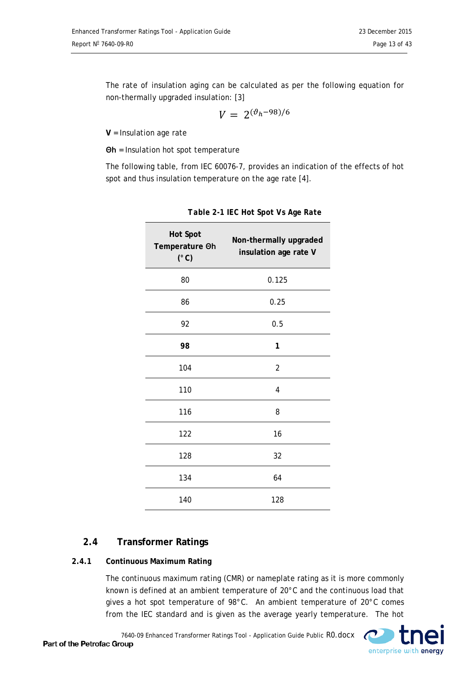The rate of insulation aging can be calculated as per the following equation for non-thermally upgraded insulation: [3]

$$
V = 2^{(\vartheta_h - 98)/6}
$$

**V** = Insulation age rate

**Θh** = Insulation hot spot temperature

The following table, from IEC 60076-7, provides an indication of the effects of hot spot and thus insulation temperature on the age rate [4].

| <b>Hot Spot</b><br>Temperature Oh<br>$(^{\circ}C)$ | Non-thermally upgraded<br>insulation age rate V |
|----------------------------------------------------|-------------------------------------------------|
| 80                                                 | 0.125                                           |
| 86                                                 | 0.25                                            |
| 92                                                 | 0.5                                             |
| 98                                                 | 1                                               |
| 104                                                | $\overline{2}$                                  |
| 110                                                | 4                                               |
| 116                                                | 8                                               |
| 122                                                | 16                                              |
| 128                                                | 32                                              |
| 134                                                | 64                                              |
| 140                                                | 128                                             |

*Table 2-1 IEC Hot Spot Vs Age Rate*

# <span id="page-12-0"></span>**2.4 Transformer Ratings**

#### <span id="page-12-1"></span>**2.4.1 Continuous Maximum Rating**

The continuous maximum rating (CMR) or nameplate rating as it is more commonly known is defined at an ambient temperature of 20°C and the continuous load that gives a hot spot temperature of 98°C. An ambient temperature of 20°C comes from the IEC standard and is given as the average yearly temperature. The hot

7640-09 Enhanced Transformer Ratings Tool - Application Guide Public R0.docx

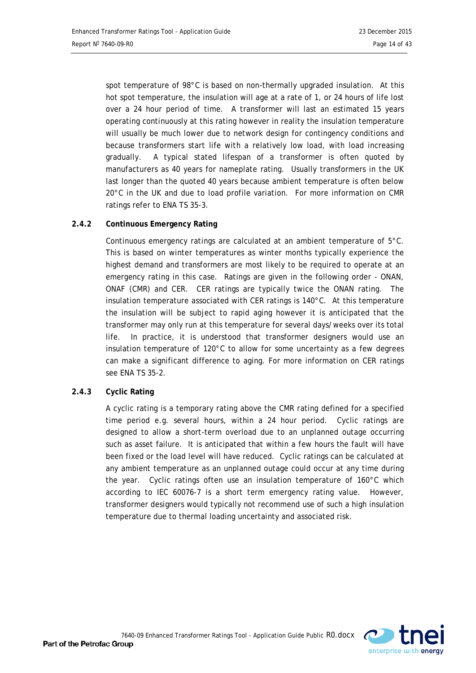spot temperature of 98°C is based on non-thermally upgraded insulation. At this hot spot temperature, the insulation will age at a rate of 1, or 24 hours of life lost over a 24 hour period of time. A transformer will last an estimated 15 years operating continuously at this rating however in reality the insulation temperature will usually be much lower due to network design for contingency conditions and because transformers start life with a relatively low load, with load increasing gradually. A typical stated lifespan of a transformer is often quoted by manufacturers as 40 years for nameplate rating. Usually transformers in the UK last longer than the quoted 40 years because ambient temperature is often below 20°C in the UK and due to load profile variation. For more information on CMR ratings refer to ENA TS 35-3.

#### <span id="page-13-0"></span>**2.4.2 Continuous Emergency Rating**

Continuous emergency ratings are calculated at an ambient temperature of 5°C. This is based on winter temperatures as winter months typically experience the highest demand and transformers are most likely to be required to operate at an emergency rating in this case. Ratings are given in the following order - ONAN, ONAF (CMR) and CER. CER ratings are typically twice the ONAN rating. The insulation temperature associated with CER ratings is 140°C. At this temperature the insulation will be subject to rapid aging however it is anticipated that the transformer may only run at this temperature for several days/weeks over its total life. In practice, it is understood that transformer designers would use an insulation temperature of 120°C to allow for some uncertainty as a few degrees can make a significant difference to aging. For more information on CER ratings see ENA TS 35-2.

#### <span id="page-13-1"></span>**2.4.3 Cyclic Rating**

A cyclic rating is a temporary rating above the CMR rating defined for a specified time period e.g. several hours, within a 24 hour period. Cyclic ratings are designed to allow a short-term overload due to an unplanned outage occurring such as asset failure. It is anticipated that within a few hours the fault will have been fixed or the load level will have reduced. Cyclic ratings can be calculated at any ambient temperature as an unplanned outage could occur at any time during the year. Cyclic ratings often use an insulation temperature of 160°C which according to IEC 60076-7 is a short term emergency rating value. However, transformer designers would typically not recommend use of such a high insulation temperature due to thermal loading uncertainty and associated risk.

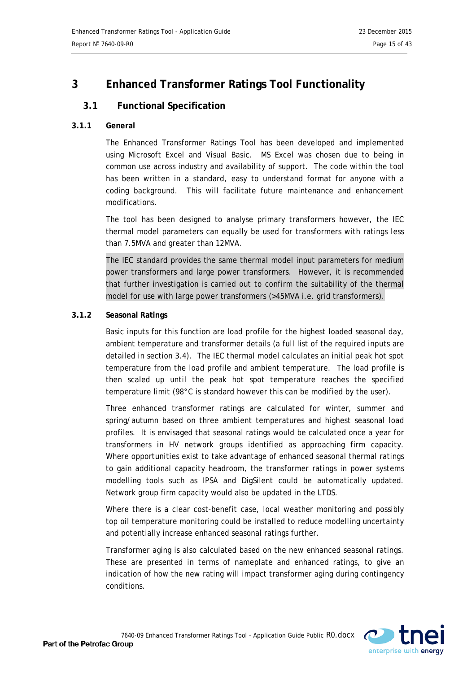# <span id="page-14-0"></span>**3 Enhanced Transformer Ratings Tool Functionality**

# <span id="page-14-1"></span>**3.1 Functional Specification**

#### <span id="page-14-2"></span>**3.1.1 General**

The Enhanced Transformer Ratings Tool has been developed and implemented using Microsoft Excel and Visual Basic. MS Excel was chosen due to being in common use across industry and availability of support. The code within the tool has been written in a standard, easy to understand format for anyone with a coding background. This will facilitate future maintenance and enhancement modifications.

The tool has been designed to analyse primary transformers however, the IEC thermal model parameters can equally be used for transformers with ratings less than 7.5MVA and greater than 12MVA.

The IEC standard provides the same thermal model input parameters for medium power transformers and large power transformers. However, it is recommended that further investigation is carried out to confirm the suitability of the thermal model for use with large power transformers (>45MVA i.e. grid transformers).

#### <span id="page-14-3"></span>**3.1.2 Seasonal Ratings**

Basic inputs for this function are load profile for the highest loaded seasonal day, ambient temperature and transformer details (a full list of the required inputs are detailed in section [3.4\)](#page-18-2). The IEC thermal model calculates an initial peak hot spot temperature from the load profile and ambient temperature. The load profile is then scaled up until the peak hot spot temperature reaches the specified temperature limit (98°C is standard however this can be modified by the user).

Three enhanced transformer ratings are calculated for winter, summer and spring/autumn based on three ambient temperatures and highest seasonal load profiles. It is envisaged that seasonal ratings would be calculated once a year for transformers in HV network groups identified as approaching firm capacity. Where opportunities exist to take advantage of enhanced seasonal thermal ratings to gain additional capacity headroom, the transformer ratings in power systems modelling tools such as IPSA and DigSilent could be automatically updated. Network group firm capacity would also be updated in the LTDS.

Where there is a clear cost-benefit case, local weather monitoring and possibly top oil temperature monitoring could be installed to reduce modelling uncertainty and potentially increase enhanced seasonal ratings further.

Transformer aging is also calculated based on the new enhanced seasonal ratings. These are presented in terms of nameplate and enhanced ratings, to give an indication of how the new rating will impact transformer aging during contingency conditions.

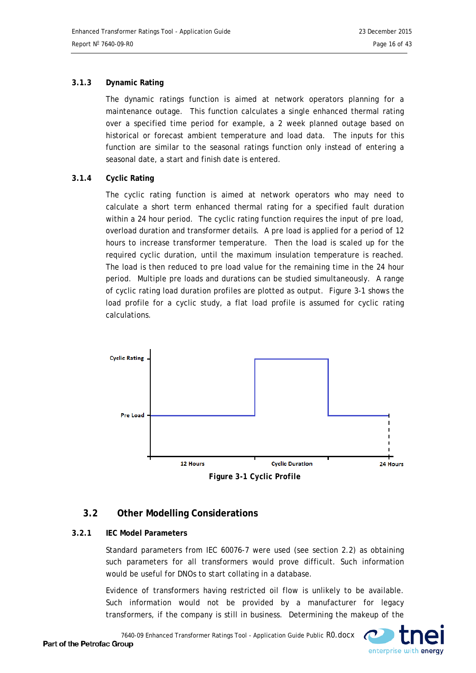#### <span id="page-15-0"></span>**3.1.3 Dynamic Rating**

The dynamic ratings function is aimed at network operators planning for a maintenance outage. This function calculates a single enhanced thermal rating over a specified time period for example, a 2 week planned outage based on historical or forecast ambient temperature and load data. The inputs for this function are similar to the seasonal ratings function only instead of entering a seasonal date, a start and finish date is entered.

#### <span id="page-15-1"></span>**3.1.4 Cyclic Rating**

The cyclic rating function is aimed at network operators who may need to calculate a short term enhanced thermal rating for a specified fault duration within a 24 hour period. The cyclic rating function requires the input of pre load, overload duration and transformer details. A pre load is applied for a period of 12 hours to increase transformer temperature. Then the load is scaled up for the required cyclic duration, until the maximum insulation temperature is reached. The load is then reduced to pre load value for the remaining time in the 24 hour period. Multiple pre loads and durations can be studied simultaneously. A range of cyclic rating load duration profiles are plotted as output. [Figure 3-1](#page-15-4) shows the load profile for a cyclic study, a flat load profile is assumed for cyclic rating calculations.



# <span id="page-15-4"></span><span id="page-15-2"></span>**3.2 Other Modelling Considerations**

#### <span id="page-15-3"></span>**3.2.1 IEC Model Parameters**

Standard parameters from IEC 60076-7 were used (see section [2.2\)](#page-9-2) as obtaining such parameters for all transformers would prove difficult. Such information would be useful for DNOs to start collating in a database.

Evidence of transformers having restricted oil flow is unlikely to be available. Such information would not be provided by a manufacturer for legacy transformers, if the company is still in business. Determining the makeup of the

7640-09 Enhanced Transformer Ratings Tool - Application Guide Public R0.docx

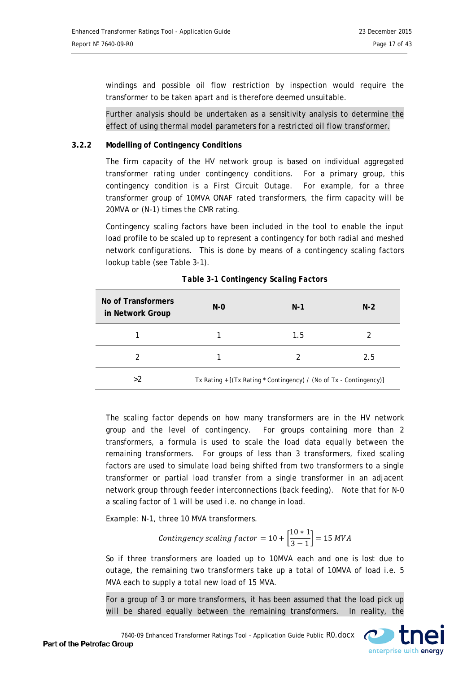windings and possible oil flow restriction by inspection would require the transformer to be taken apart and is therefore deemed unsuitable.

Further analysis should be undertaken as a sensitivity analysis to determine the effect of using thermal model parameters for a restricted oil flow transformer.

#### <span id="page-16-0"></span>**3.2.2 Modelling of Contingency Conditions**

<span id="page-16-1"></span>The firm capacity of the HV network group is based on individual aggregated transformer rating under contingency conditions. For a primary group, this contingency condition is a First Circuit Outage. For example, for a three transformer group of 10MVA ONAF rated transformers, the firm capacity will be 20MVA or (N-1) times the CMR rating.

Contingency scaling factors have been included in the tool to enable the input load profile to be scaled up to represent a contingency for both radial and meshed network configurations. This is done by means of a contingency scaling factors lookup table (see Table 3-1).

| No of Transformers<br>in Network Group | $N - 0$ | $N-1$                                                              | $N-2$ |
|----------------------------------------|---------|--------------------------------------------------------------------|-------|
|                                        |         | 1.5                                                                |       |
| 2                                      |         | 2                                                                  | 2.5   |
| >2                                     |         | Tx Rating + [(Tx Rating * Contingency) / (No of Tx - Contingency)] |       |

| Table 3-1 Contingency Scaling Factors |  |
|---------------------------------------|--|
|                                       |  |

The scaling factor depends on how many transformers are in the HV network group and the level of contingency. For groups containing more than 2 transformers, a formula is used to scale the load data equally between the remaining transformers. For groups of less than 3 transformers, fixed scaling factors are used to simulate load being shifted from two transformers to a single transformer or partial load transfer from a single transformer in an adjacent network group through feeder interconnections (back feeding). Note that for N-0 a scaling factor of 1 will be used i.e. no change in load.

Example: N-1, three 10 MVA transformers.

*Contingency scaling factor* = 
$$
10 + \left[\frac{10 * 1}{3 - 1}\right]
$$
 = 15 *MVA*

So if three transformers are loaded up to 10MVA each and one is lost due to outage, the remaining two transformers take up a total of 10MVA of load i.e. 5 MVA each to supply a total new load of 15 MVA.

For a group of 3 or more transformers, it has been assumed that the load pick up will be shared equally between the remaining transformers. In reality, the

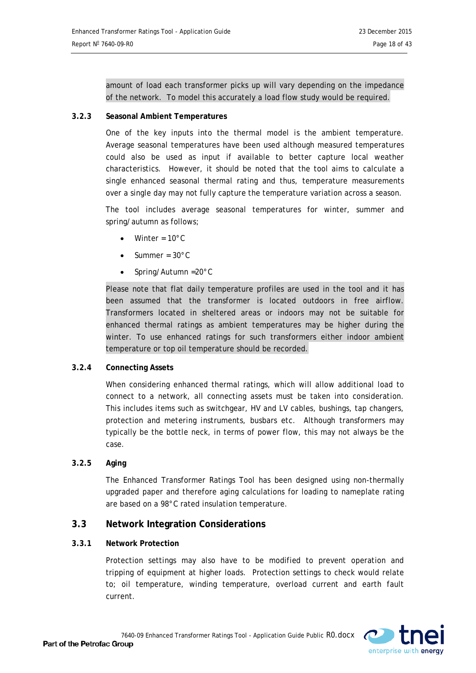amount of load each transformer picks up will vary depending on the impedance of the network. To model this accurately a load flow study would be required.

#### <span id="page-17-0"></span>**3.2.3 Seasonal Ambient Temperatures**

One of the key inputs into the thermal model is the ambient temperature. Average seasonal temperatures have been used although measured temperatures could also be used as input if available to better capture local weather characteristics. However, it should be noted that the tool aims to calculate a single enhanced seasonal thermal rating and thus, temperature measurements over a single day may not fully capture the temperature variation across a season.

The tool includes average seasonal temperatures for winter, summer and spring/autumn as follows;

- Winter =  $10^{\circ}$ C
- Summer =  $30^{\circ}$ C
- Spring/Autumn =20°C

Please note that flat daily temperature profiles are used in the tool and it has been assumed that the transformer is located outdoors in free airflow. Transformers located in sheltered areas or indoors may not be suitable for enhanced thermal ratings as ambient temperatures may be higher during the winter. To use enhanced ratings for such transformers either indoor ambient temperature or top oil temperature should be recorded.

#### <span id="page-17-1"></span>**3.2.4 Connecting Assets**

When considering enhanced thermal ratings, which will allow additional load to connect to a network, all connecting assets must be taken into consideration. This includes items such as switchgear, HV and LV cables, bushings, tap changers, protection and metering instruments, busbars etc. Although transformers may typically be the bottle neck, in terms of power flow, this may not always be the case.

#### <span id="page-17-2"></span>**3.2.5 Aging**

The Enhanced Transformer Ratings Tool has been designed using non-thermally upgraded paper and therefore aging calculations for loading to nameplate rating are based on a 98°C rated insulation temperature.

#### <span id="page-17-3"></span>**3.3 Network Integration Considerations**

#### <span id="page-17-4"></span>**3.3.1 Network Protection**

Protection settings may also have to be modified to prevent operation and tripping of equipment at higher loads. Protection settings to check would relate to; oil temperature, winding temperature, overload current and earth fault current.

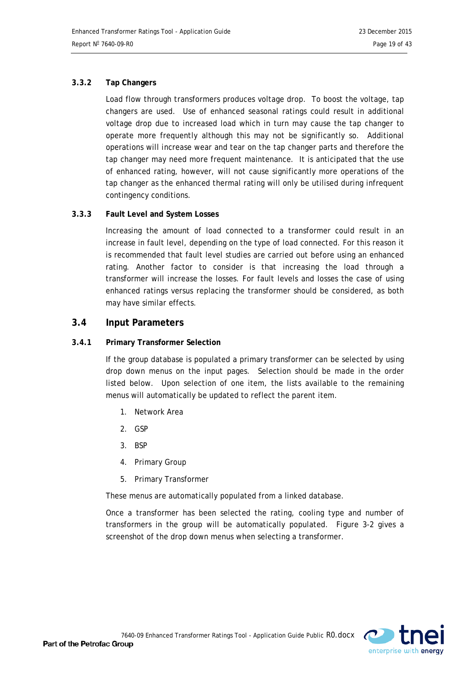#### <span id="page-18-0"></span>**3.3.2 Tap Changers**

Load flow through transformers produces voltage drop. To boost the voltage, tap changers are used. Use of enhanced seasonal ratings could result in additional voltage drop due to increased load which in turn may cause the tap changer to operate more frequently although this may not be significantly so. Additional operations will increase wear and tear on the tap changer parts and therefore the tap changer may need more frequent maintenance. It is anticipated that the use of enhanced rating, however, will not cause significantly more operations of the tap changer as the enhanced thermal rating will only be utilised during infrequent contingency conditions.

#### <span id="page-18-1"></span>**3.3.3 Fault Level and System Losses**

Increasing the amount of load connected to a transformer could result in an increase in fault level, depending on the type of load connected. For this reason it is recommended that fault level studies are carried out before using an enhanced rating. Another factor to consider is that increasing the load through a transformer will increase the losses. For fault levels and losses the case of using enhanced ratings versus replacing the transformer should be considered, as both may have similar effects.

### <span id="page-18-2"></span>**3.4 Input Parameters**

#### <span id="page-18-3"></span>**3.4.1 Primary Transformer Selection**

If the group database is populated a primary transformer can be selected by using drop down menus on the input pages. Selection should be made in the order listed below. Upon selection of one item, the lists available to the remaining menus will automatically be updated to reflect the parent item.

- 1. Network Area
- 2. GSP
- 3. BSP
- 4. Primary Group
- 5. Primary Transformer

These menus are automatically populated from a linked database.

Once a transformer has been selected the rating, cooling type and number of transformers in the group will be automatically populated. [Figure 3-2](#page-19-1) gives a screenshot of the drop down menus when selecting a transformer.

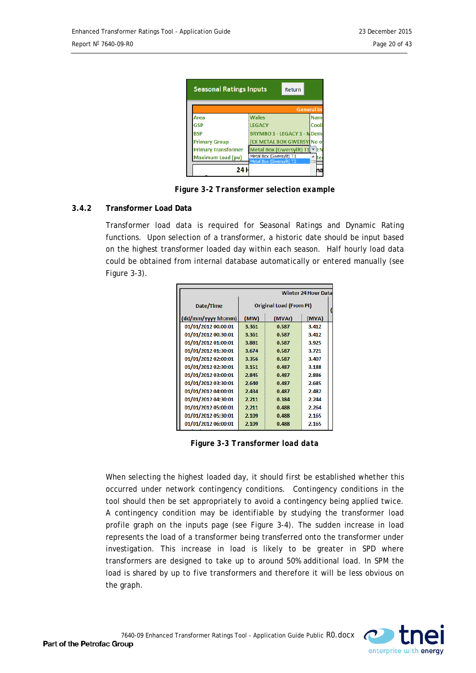<span id="page-19-1"></span>

| <b>Seasonal Ratings Inputs</b><br>Return |                                                      |            |  |  |  |
|------------------------------------------|------------------------------------------------------|------------|--|--|--|
|                                          | <b>General In</b>                                    |            |  |  |  |
| Area                                     | <b>Wales</b>                                         | <b>Nam</b> |  |  |  |
| <b>GSP</b>                               | <b>LEGACY</b>                                        | Cool       |  |  |  |
| <b>RSP</b>                               | <b>BRYMBO 1 - LEGACY 1 - NDem</b>                    |            |  |  |  |
| <b>Primary Group</b>                     | (EX METAL BOX GWERSY No o                            |            |  |  |  |
| <b>Primary Transformer</b>               | Metal Box (Gwersyllt) T1                             | - IEN      |  |  |  |
| <b>Maximum Load (pu)</b>                 | Metal Box (Gwersyllt) T1<br>Metal Box (Gwersyllt) T2 |            |  |  |  |
| 24 I                                     |                                                      |            |  |  |  |

*Figure 3-2 Transformer selection example*

#### <span id="page-19-0"></span>**3.4.2 Transformer Load Data**

Transformer load data is required for Seasonal Ratings and Dynamic Rating functions. Upon selection of a transformer, a historic date should be input based on the highest transformer loaded day within each season. Half hourly load data could be obtained from internal database automatically or entered manually (see [Figure 3-3\)](#page-19-2).

<span id="page-19-2"></span>

| <b>Winter 24 Hour Data</b> |                                |        |       |  |  |  |
|----------------------------|--------------------------------|--------|-------|--|--|--|
| Date/Time                  | <b>Original Load (From PI)</b> |        |       |  |  |  |
| (dd/mm/yyyy hh:mm)         | (MW)                           | (MVAr) | (MVA) |  |  |  |
| 01/01/2012 00:00:01        | 3.361                          | 0.587  | 3.412 |  |  |  |
| 01/01/2012 00:30:01        | 3.361                          | 0.587  | 3.412 |  |  |  |
| 01/01/2012 01:00:01        | 3.881                          | 0.587  | 3.925 |  |  |  |
| 01/01/2012 01:30:01        | 3.674                          | 0.587  | 3.721 |  |  |  |
| 01/01/2012 02:00:01        | 3.356                          | 0.587  | 3.407 |  |  |  |
| 01/01/2012 02:30:01        | 3.151                          | 0.487  | 3.188 |  |  |  |
| 01/01/2012 03:00:01        | 2.845                          | 0.487  | 2.886 |  |  |  |
| 01/01/2012 03:30:01        | 2.640                          | 0.487  | 2.685 |  |  |  |
| 01/01/2012 04:00:01        | 2.434                          | 0.487  | 2.482 |  |  |  |
| 01/01/2012 04:30:01        | 2.211                          | 0.384  | 2.244 |  |  |  |
| 01/01/2012 05:00:01        | 2.211                          | 0.488  | 2.264 |  |  |  |
| 01/01/2012 05:30:01        | 2.109                          | 0.488  | 2.165 |  |  |  |
| 01/01/2012 06:00:01        | 2.109                          | 0.488  | 2.165 |  |  |  |

*Figure 3-3 Transformer load data*

When selecting the highest loaded day, it should first be established whether this occurred under network contingency conditions. Contingency conditions in the tool should then be set appropriately to avoid a contingency being applied twice. A contingency condition may be identifiable by studying the transformer load profile graph on the inputs page (see [Figure 3-4\)](#page-20-1). The sudden increase in load represents the load of a transformer being transferred onto the transformer under investigation. This increase in load is likely to be greater in SPD where transformers are designed to take up to around 50% additional load. In SPM the load is shared by up to five transformers and therefore it will be less obvious on the graph.

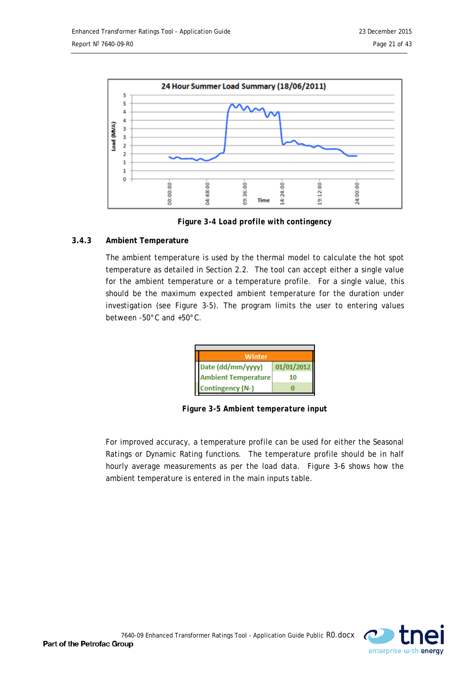

<span id="page-20-1"></span>*Figure 3-4 Load profile with contingency*

### <span id="page-20-0"></span>**3.4.3 Ambient Temperature**

The ambient temperature is used by the thermal model to calculate the hot spot temperature as detailed in Section [2.2.](#page-9-2) The tool can accept either a single value for the ambient temperature or a temperature profile. For a single value, this should be the maximum expected ambient temperature for the duration under investigation (see [Figure 3-5\)](#page-20-2). The program limits the user to entering values between -50°C and +50°C.

<span id="page-20-2"></span>

|  | Winter                     |            |  |  |  |  |
|--|----------------------------|------------|--|--|--|--|
|  | Date (dd/mm/yyyy)          | 01/01/2012 |  |  |  |  |
|  | <b>Ambient Temperature</b> | 10         |  |  |  |  |
|  | Contingency (N-)           |            |  |  |  |  |

*Figure 3-5 Ambient temperature input*

For improved accuracy, a temperature profile can be used for either the Seasonal Ratings or Dynamic Rating functions. The temperature profile should be in half hourly average measurements as per the load data. [Figure 3-6](#page-21-3) shows how the ambient temperature is entered in the main inputs table.

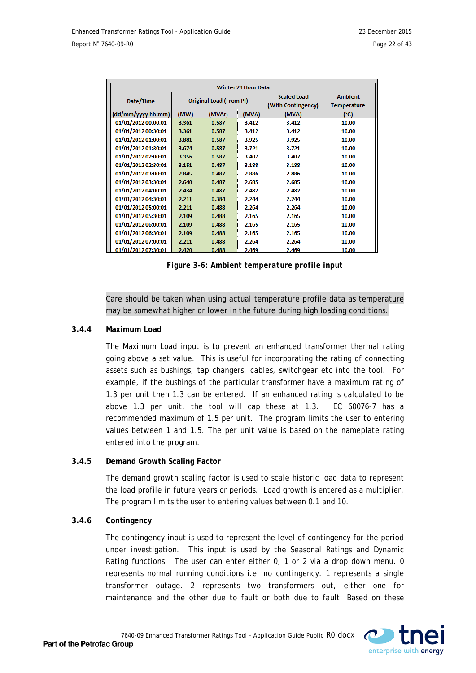<span id="page-21-3"></span>

|                     | <b>Winter 24 Hour Data</b>     |        |                    |                    |                    |
|---------------------|--------------------------------|--------|--------------------|--------------------|--------------------|
|                     | <b>Original Load (From PI)</b> |        | <b>Scaled Load</b> | <b>Ambient</b>     |                    |
| Date/Time           |                                |        |                    | (With Contingency) | <b>Temperature</b> |
| (dd/mm/yyyy hh:mm)  | (MW)                           | (MVAr) | (MVA)              | (MVA)              | (°C)               |
| 01/01/2012 00:00:01 | 3.361                          | 0.587  | 3.412              | 3.412              | 10.00              |
| 01/01/2012 00:30:01 | 3.361                          | 0.587  | 3.412              | 3.412              | 10.00              |
| 01/01/2012 01:00:01 | 3.881                          | 0.587  | 3.925              | 3.925              | 10.00              |
| 01/01/2012 01:30:01 | 3.674                          | 0.587  | 3.721              | 3.721              | 10.00              |
| 01/01/2012 02:00:01 | 3.356                          | 0.587  | 3.407              | 3.407              | 10.00              |
| 01/01/2012 02:30:01 | 3.151                          | 0.487  | 3.188              | 3.188              | 10.00              |
| 01/01/2012 03:00:01 | 2.845                          | 0.487  | 2.886              | 2.886              | 10.00              |
| 01/01/2012 03:30:01 | 2.640                          | 0.487  | 2.685              | 2.685              | 10.00              |
| 01/01/2012 04:00:01 | 2.434                          | 0.487  | 2.482              | 2.482              | 10.00              |
| 01/01/2012 04:30:01 | 2.211                          | 0.384  | 2.244              | 2.244              | 10.00              |
| 01/01/2012 05:00:01 | 2.211                          | 0.488  | 2.264              | 2.264              | 10.00              |
| 01/01/2012 05:30:01 | 2.109                          | 0.488  | 2.165              | 2.165              | 10.00              |
| 01/01/2012 06:00:01 | 2.109                          | 0.488  | 2.165              | 2.165              | 10.00              |
| 01/01/2012 06:30:01 | 2.109                          | 0.488  | 2.165              | 2.165              | 10.00              |
| 01/01/2012 07:00:01 | 2.211                          | 0.488  | 2.264              | 2.264              | 10.00              |
| 01/01/2012 07:30:01 | 2.420                          | 0.488  | 2.469              | 2.469              | 10.00              |

*Figure 3-6: Ambient temperature profile input*

Care should be taken when using actual temperature profile data as temperature may be somewhat higher or lower in the future during high loading conditions.

#### <span id="page-21-0"></span>**3.4.4 Maximum Load**

The Maximum Load input is to prevent an enhanced transformer thermal rating going above a set value. This is useful for incorporating the rating of connecting assets such as bushings, tap changers, cables, switchgear etc into the tool. For example, if the bushings of the particular transformer have a maximum rating of 1.3 per unit then 1.3 can be entered. If an enhanced rating is calculated to be above 1.3 per unit, the tool will cap these at 1.3. IEC 60076-7 has a recommended maximum of 1.5 per unit. The program limits the user to entering values between 1 and 1.5. The per unit value is based on the nameplate rating entered into the program.

#### <span id="page-21-1"></span>**3.4.5 Demand Growth Scaling Factor**

The demand growth scaling factor is used to scale historic load data to represent the load profile in future years or periods. Load growth is entered as a multiplier. The program limits the user to entering values between 0.1 and 10.

#### <span id="page-21-2"></span>**3.4.6 Contingency**

The contingency input is used to represent the level of contingency for the period under investigation. This input is used by the Seasonal Ratings and Dynamic Rating functions. The user can enter either 0, 1 or 2 via a drop down menu. 0 represents normal running conditions i.e. no contingency. 1 represents a single transformer outage. 2 represents two transformers out, either one for maintenance and the other due to fault or both due to fault. Based on these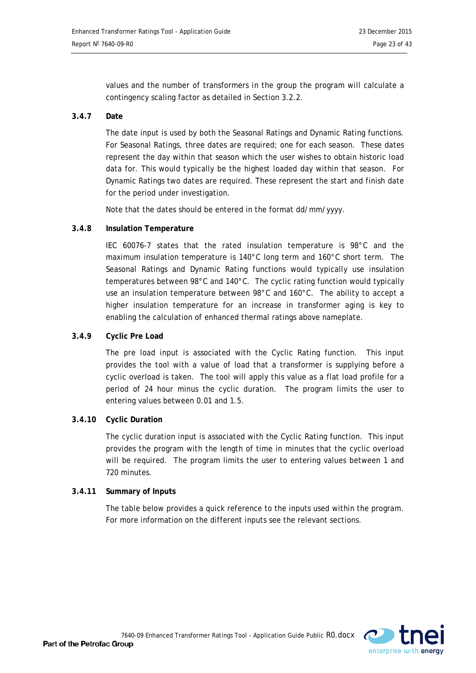values and the number of transformers in the group the program will calculate a contingency scaling factor as detailed in Section [3.2.2.](#page-16-1)

#### <span id="page-22-0"></span>**3.4.7 Date**

The date input is used by both the Seasonal Ratings and Dynamic Rating functions. For Seasonal Ratings, three dates are required; one for each season. These dates represent the day within that season which the user wishes to obtain historic load data for. This would typically be the highest loaded day within that season. For Dynamic Ratings two dates are required. These represent the start and finish date for the period under investigation.

Note that the dates should be entered in the format dd/mm/yyyy.

#### <span id="page-22-1"></span>**3.4.8 Insulation Temperature**

IEC 60076-7 states that the rated insulation temperature is 98°C and the maximum insulation temperature is 140°C long term and 160°C short term. The Seasonal Ratings and Dynamic Rating functions would typically use insulation temperatures between 98°C and 140°C. The cyclic rating function would typically use an insulation temperature between 98°C and 160°C. The ability to accept a higher insulation temperature for an increase in transformer aging is key to enabling the calculation of enhanced thermal ratings above nameplate.

#### <span id="page-22-2"></span>**3.4.9 Cyclic Pre Load**

The pre load input is associated with the Cyclic Rating function. This input provides the tool with a value of load that a transformer is supplying before a cyclic overload is taken. The tool will apply this value as a flat load profile for a period of 24 hour minus the cyclic duration. The program limits the user to entering values between 0.01 and 1.5.

#### <span id="page-22-3"></span>**3.4.10 Cyclic Duration**

The cyclic duration input is associated with the Cyclic Rating function. This input provides the program with the length of time in minutes that the cyclic overload will be required. The program limits the user to entering values between 1 and 720 minutes.

#### <span id="page-22-4"></span>**3.4.11 Summary of Inputs**

The table below provides a quick reference to the inputs used within the program. For more information on the different inputs see the relevant sections.

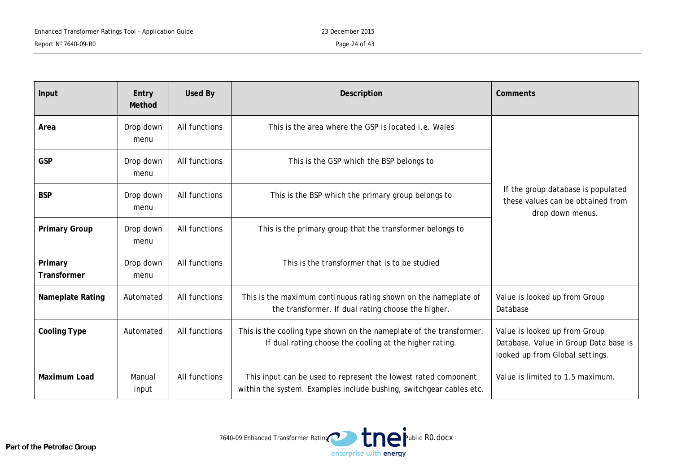| Input                   | Entry<br>Method                                                                                 | <b>Used By</b> | Description                                                                                                                           | Comments                                                                                                  |  |
|-------------------------|-------------------------------------------------------------------------------------------------|----------------|---------------------------------------------------------------------------------------------------------------------------------------|-----------------------------------------------------------------------------------------------------------|--|
| Area                    | Drop down<br>menu                                                                               | All functions  | This is the area where the GSP is located <i>i.e.</i> Wales                                                                           |                                                                                                           |  |
| <b>GSP</b>              | Drop down<br>menu                                                                               | All functions  | This is the GSP which the BSP belongs to                                                                                              |                                                                                                           |  |
| <b>BSP</b>              | Drop down<br>menu                                                                               | All functions  | This is the BSP which the primary group belongs to                                                                                    | If the group database is populated<br>these values can be obtained from<br>drop down menus.               |  |
| <b>Primary Group</b>    | All functions<br>This is the primary group that the transformer belongs to<br>Drop down<br>menu |                |                                                                                                                                       |                                                                                                           |  |
| Primary<br>Transformer  | Drop down<br>menu                                                                               | All functions  | This is the transformer that is to be studied                                                                                         |                                                                                                           |  |
| <b>Nameplate Rating</b> | Automated                                                                                       | All functions  | This is the maximum continuous rating shown on the nameplate of<br>the transformer. If dual rating choose the higher.                 | Value is looked up from Group<br>Database                                                                 |  |
| <b>Cooling Type</b>     | Automated                                                                                       | All functions  | This is the cooling type shown on the nameplate of the transformer.<br>If dual rating choose the cooling at the higher rating.        | Value is looked up from Group<br>Database. Value in Group Data base is<br>looked up from Global settings. |  |
| <b>Maximum Load</b>     | Manual<br>input                                                                                 | All functions  | This input can be used to represent the lowest rated component<br>within the system. Examples include bushing, switchgear cables etc. | Value is limited to 1.5 maximum.                                                                          |  |

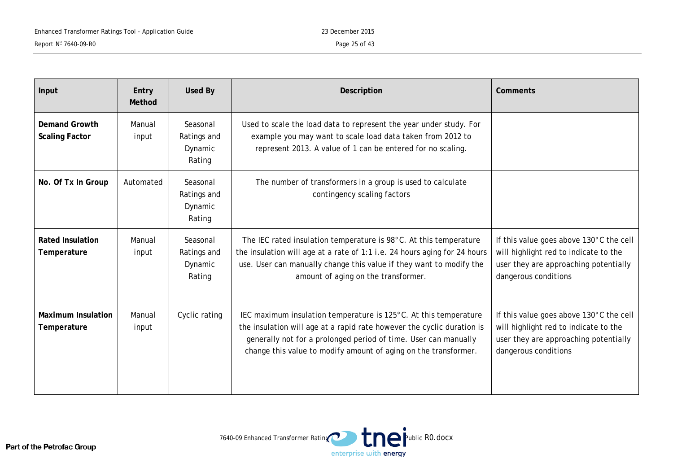| Input                                    | Entry<br>Method | <b>Used By</b>                               | Description                                                                                                                                                                                                                                                                      | Comments                                                                                                                                          |
|------------------------------------------|-----------------|----------------------------------------------|----------------------------------------------------------------------------------------------------------------------------------------------------------------------------------------------------------------------------------------------------------------------------------|---------------------------------------------------------------------------------------------------------------------------------------------------|
| Demand Growth<br><b>Scaling Factor</b>   | Manual<br>input | Seasonal<br>Ratings and<br>Dynamic<br>Rating | Used to scale the load data to represent the year under study. For<br>example you may want to scale load data taken from 2012 to<br>represent 2013. A value of 1 can be entered for no scaling.                                                                                  |                                                                                                                                                   |
| No. Of Tx In Group                       | Automated       | Seasonal<br>Ratings and<br>Dynamic<br>Rating | The number of transformers in a group is used to calculate<br>contingency scaling factors                                                                                                                                                                                        |                                                                                                                                                   |
| <b>Rated Insulation</b><br>Temperature   | Manual<br>input | Seasonal<br>Ratings and<br>Dynamic<br>Rating | The IEC rated insulation temperature is 98°C. At this temperature<br>the insulation will age at a rate of 1:1 i.e. 24 hours aging for 24 hours<br>use. User can manually change this value if they want to modify the<br>amount of aging on the transformer.                     | If this value goes above 130°C the cell<br>will highlight red to indicate to the<br>user they are approaching potentially<br>dangerous conditions |
| <b>Maximum Insulation</b><br>Temperature | Manual<br>input | Cyclic rating                                | IEC maximum insulation temperature is 125°C. At this temperature<br>the insulation will age at a rapid rate however the cyclic duration is<br>generally not for a prolonged period of time. User can manually<br>change this value to modify amount of aging on the transformer. | If this value goes above 130°C the cell<br>will highlight red to indicate to the<br>user they are approaching potentially<br>dangerous conditions |

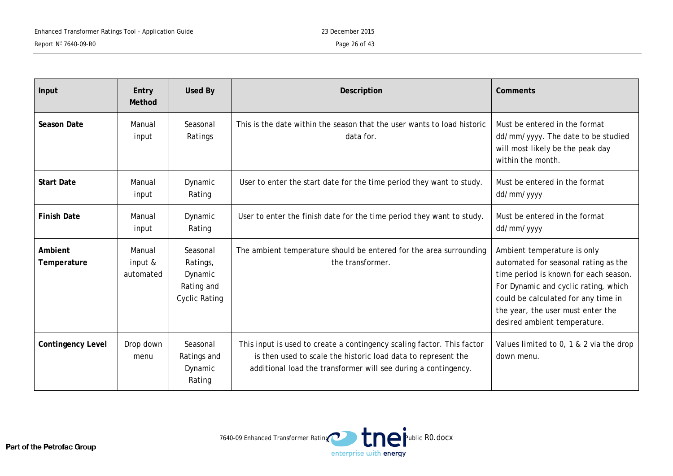| Input                    | Entry<br>Method                | Used By                                                               | Description                                                                                                                                                                                               | <b>Comments</b>                                                                                                                                                                                                                                                  |
|--------------------------|--------------------------------|-----------------------------------------------------------------------|-----------------------------------------------------------------------------------------------------------------------------------------------------------------------------------------------------------|------------------------------------------------------------------------------------------------------------------------------------------------------------------------------------------------------------------------------------------------------------------|
| <b>Season Date</b>       | Manual<br>input                | Seasonal<br>Ratings                                                   | This is the date within the season that the user wants to load historic<br>data for.                                                                                                                      | Must be entered in the format<br>dd/mm/yyyy. The date to be studied<br>will most likely be the peak day<br>within the month.                                                                                                                                     |
| <b>Start Date</b>        | Manual<br>input                | Dynamic<br>Rating                                                     | User to enter the start date for the time period they want to study.                                                                                                                                      | Must be entered in the format<br>dd/mm/yyyy                                                                                                                                                                                                                      |
| <b>Finish Date</b>       | Manual<br>input                | Dynamic<br>Rating                                                     | User to enter the finish date for the time period they want to study.                                                                                                                                     | Must be entered in the format<br>dd/mm/yyyy                                                                                                                                                                                                                      |
| Ambient<br>Temperature   | Manual<br>input &<br>automated | Seasonal<br>Ratings,<br>Dynamic<br>Rating and<br><b>Cyclic Rating</b> | The ambient temperature should be entered for the area surrounding<br>the transformer.                                                                                                                    | Ambient temperature is only<br>automated for seasonal rating as the<br>time period is known for each season.<br>For Dynamic and cyclic rating, which<br>could be calculated for any time in<br>the year, the user must enter the<br>desired ambient temperature. |
| <b>Contingency Level</b> | Drop down<br>menu              | Seasonal<br>Ratings and<br>Dynamic<br>Rating                          | This input is used to create a contingency scaling factor. This factor<br>is then used to scale the historic load data to represent the<br>additional load the transformer will see during a contingency. | Values limited to 0, 1 & 2 via the drop<br>down menu.                                                                                                                                                                                                            |

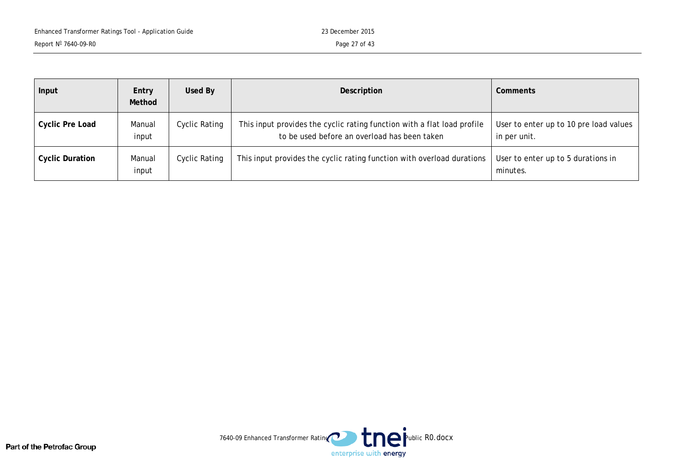| Input                  | Entry<br>Method | Used By              | Description                                                                                                             | Comments                                               |
|------------------------|-----------------|----------------------|-------------------------------------------------------------------------------------------------------------------------|--------------------------------------------------------|
| <b>Cyclic Pre Load</b> | Manual<br>input | Cyclic Rating        | This input provides the cyclic rating function with a flat load profile<br>to be used before an overload has been taken | User to enter up to 10 pre load values<br>in per unit. |
| <b>Cyclic Duration</b> | Manual<br>input | <b>Cyclic Rating</b> | This input provides the cyclic rating function with overload durations                                                  | User to enter up to 5 durations in<br>minutes.         |

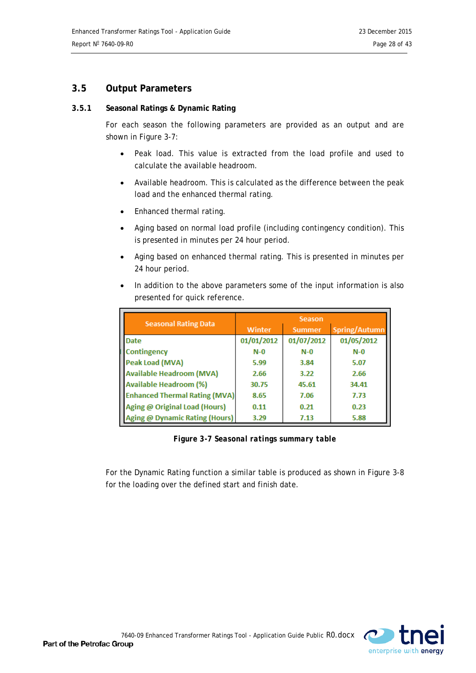# <span id="page-27-0"></span>**3.5 Output Parameters**

#### <span id="page-27-1"></span>**3.5.1 Seasonal Ratings & Dynamic Rating**

For each season the following parameters are provided as an output and are shown in [Figure 3-7:](#page-27-2)

- Peak load. This value is extracted from the load profile and used to calculate the available headroom.
- Available headroom. This is calculated as the difference between the peak load and the enhanced thermal rating.
- Enhanced thermal rating.
- Aging based on normal load profile (including contingency condition). This is presented in minutes per 24 hour period.
- Aging based on enhanced thermal rating. This is presented in minutes per 24 hour period.
- In addition to the above parameters some of the input information is also presented for quick reference.

| <b>Seasonal Rating Data</b>          | Season        |               |               |  |
|--------------------------------------|---------------|---------------|---------------|--|
|                                      | <b>Winter</b> | <b>Summer</b> | Spring/Autumn |  |
| <b>Date</b>                          | 01/01/2012    | 01/07/2012    | 01/05/2012    |  |
| Contingency                          | $N-0$         | $N-0$         | $N-0$         |  |
| Peak Load (MVA)                      | 5.99          | 3.84          | 5.07          |  |
| <b>Available Headroom (MVA)</b>      | 2.66          | 3.22          | 2.66          |  |
| <b>Available Headroom (%)</b>        | 30.75         | 45.61         | 34.41         |  |
| <b>Enhanced Thermal Rating (MVA)</b> | 8.65          | 7.06          | 7.73          |  |
| Aging @ Original Load (Hours)        | 0.11          | 0.21          | 0.23          |  |
| Aging @ Dynamic Rating (Hours)       | 3.29          | 7.13          | 5.88          |  |

<span id="page-27-2"></span>*Figure 3-7 Seasonal ratings summary table*

For the Dynamic Rating function a similar table is produced as shown in [Figure 3-8](#page-28-0) for the loading over the defined start and finish date.

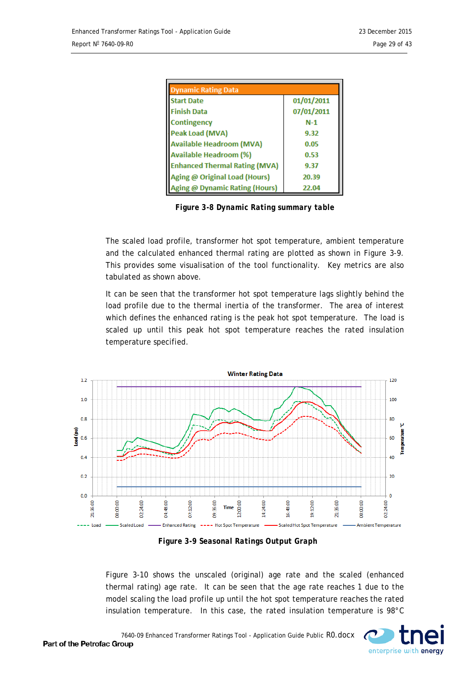<span id="page-28-0"></span>

| <b>Dynamic Rating Data</b>           |            |  |  |  |  |  |
|--------------------------------------|------------|--|--|--|--|--|
| <b>Start Date</b>                    | 01/01/2011 |  |  |  |  |  |
| <b>Finish Data</b>                   | 07/01/2011 |  |  |  |  |  |
| Contingency                          | $N-1$      |  |  |  |  |  |
| Peak Load (MVA)                      | 9.32       |  |  |  |  |  |
| <b>Available Headroom (MVA)</b>      | 0.05       |  |  |  |  |  |
| Available Headroom (%)               | 0.53       |  |  |  |  |  |
| <b>Enhanced Thermal Rating (MVA)</b> | 9.37       |  |  |  |  |  |
| Aging @ Original Load (Hours)        | 20.39      |  |  |  |  |  |
| Aging @ Dynamic Rating (Hours)       | 22.04      |  |  |  |  |  |

*Figure 3-8 Dynamic Rating summary table*

The scaled load profile, transformer hot spot temperature, ambient temperature and the calculated enhanced thermal rating are plotted as shown in [Figure 3-9.](#page-28-1) This provides some visualisation of the tool functionality. Key metrics are also tabulated as shown above.

It can be seen that the transformer hot spot temperature lags slightly behind the load profile due to the thermal inertia of the transformer. The area of interest which defines the enhanced rating is the peak hot spot temperature. The load is scaled up until this peak hot spot temperature reaches the rated insulation temperature specified.

<span id="page-28-1"></span>

*Figure 3-9 Seasonal Ratings Output Graph*

[Figure 3-10](#page-29-1) shows the unscaled (original) age rate and the scaled (enhanced thermal rating) age rate. It can be seen that the age rate reaches 1 due to the model scaling the load profile up until the hot spot temperature reaches the rated insulation temperature. In this case, the rated insulation temperature is 98°C

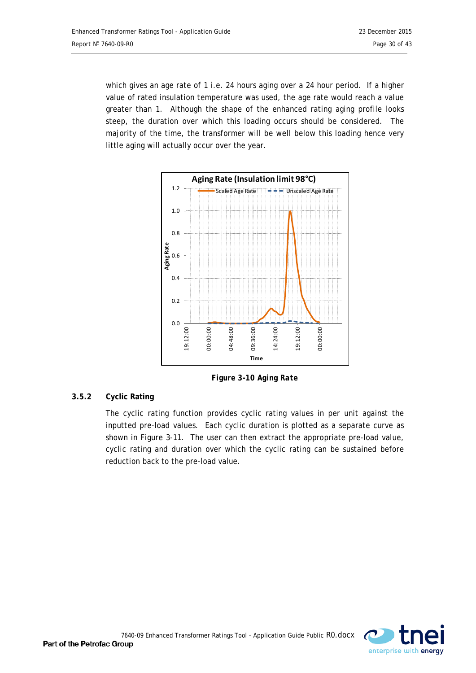which gives an age rate of 1 i.e. 24 hours aging over a 24 hour period. If a higher value of rated insulation temperature was used, the age rate would reach a value greater than 1. Although the shape of the enhanced rating aging profile looks steep, the duration over which this loading occurs should be considered. The majority of the time, the transformer will be well below this loading hence very little aging will actually occur over the year.

<span id="page-29-1"></span>

*Figure 3-10 Aging Rate*

# <span id="page-29-0"></span>**3.5.2 Cyclic Rating**

The cyclic rating function provides cyclic rating values in per unit against the inputted pre-load values. Each cyclic duration is plotted as a separate curve as shown in [Figure 3-11.](#page-30-0) The user can then extract the appropriate pre-load value, cyclic rating and duration over which the cyclic rating can be sustained before reduction back to the pre-load value.

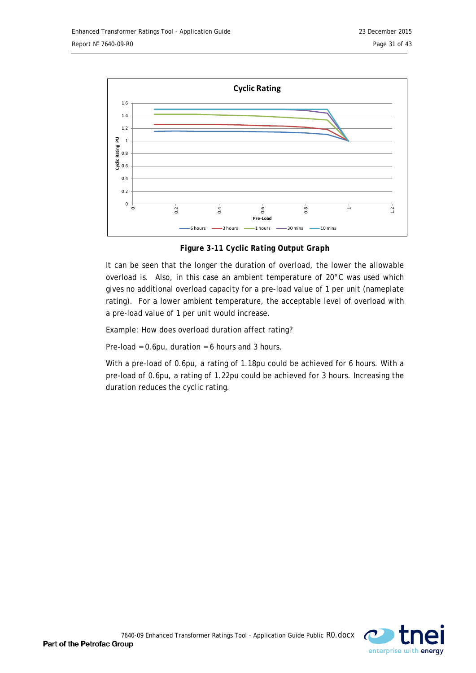

<span id="page-30-0"></span>*Figure 3-11 Cyclic Rating Output Graph*

It can be seen that the longer the duration of overload, the lower the allowable overload is. Also, in this case an ambient temperature of 20°C was used which gives no additional overload capacity for a pre-load value of 1 per unit (nameplate rating). For a lower ambient temperature, the acceptable level of overload with a pre-load value of 1 per unit would increase.

Example: How does overload duration affect rating?

Pre-load =  $0.6$ pu, duration =  $6$  hours and 3 hours.

With a pre-load of 0.6pu, a rating of 1.18pu could be achieved for 6 hours. With a pre-load of 0.6pu, a rating of 1.22pu could be achieved for 3 hours. Increasing the duration reduces the cyclic rating.

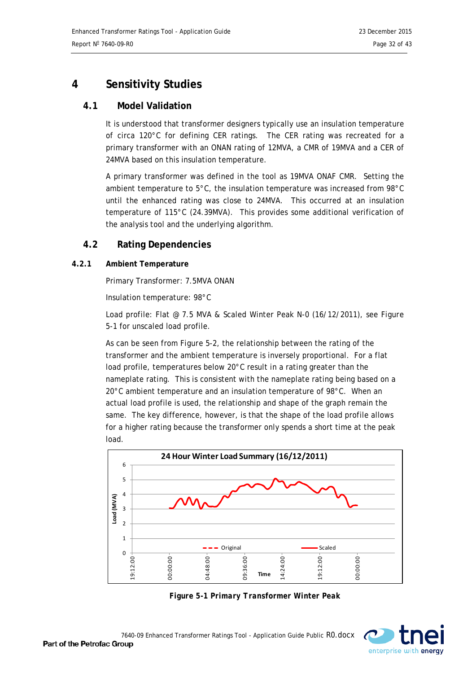# <span id="page-31-0"></span>**4 Sensitivity Studies**

# <span id="page-31-1"></span>**4.1 Model Validation**

It is understood that transformer designers typically use an insulation temperature of circa 120°C for defining CER ratings. The CER rating was recreated for a primary transformer with an ONAN rating of 12MVA, a CMR of 19MVA and a CER of 24MVA based on this insulation temperature.

A primary transformer was defined in the tool as 19MVA ONAF CMR. Setting the ambient temperature to 5°C, the insulation temperature was increased from 98°C until the enhanced rating was close to 24MVA. This occurred at an insulation temperature of 115°C (24.39MVA). This provides some additional verification of the analysis tool and the underlying algorithm.

# <span id="page-31-2"></span>**4.2 Rating Dependencies**

#### <span id="page-31-3"></span>**4.2.1 Ambient Temperature**

Primary Transformer: 7.5MVA ONAN

Insulation temperature: 98°C

Load profile: Flat @ 7.5 MVA & Scaled Winter Peak N-0 (16/12/2011), see *[Figure](#page-31-4)  [5-1](#page-31-4)* for unscaled load profile.

As can be seen from *[Figure](#page-32-1) 5-2*, the relationship between the rating of the transformer and the ambient temperature is inversely proportional. For a flat load profile, temperatures below 20°C result in a rating greater than the nameplate rating. This is consistent with the nameplate rating being based on a 20°C ambient temperature and an insulation temperature of 98°C. When an actual load profile is used, the relationship and shape of the graph remain the same. The key difference, however, is that the shape of the load profile allows for a higher rating because the transformer only spends a short time at the peak load.



*Figure 5-1 Primary Transformer Winter Peak*

<span id="page-31-4"></span>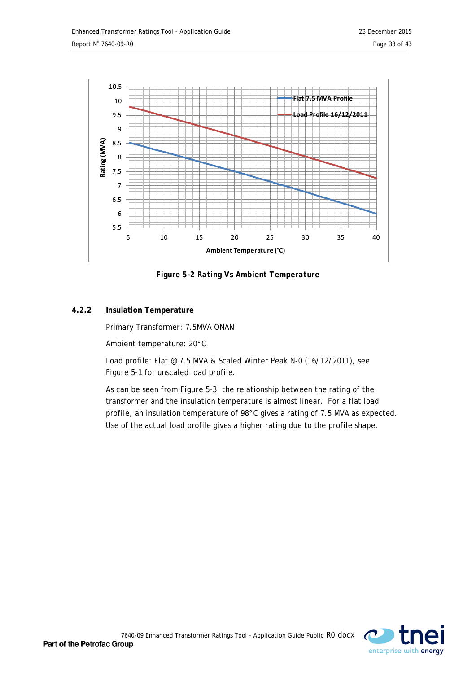

<span id="page-32-1"></span>*Figure 5-2 Rating Vs Ambient Temperature*

# <span id="page-32-0"></span>**4.2.2 Insulation Temperature**

Primary Transformer: 7.5MVA ONAN

Ambient temperature: 20°C

Load profile: Flat @ 7.5 MVA & Scaled Winter Peak N-0 (16/12/2011), see *[Figure 5-1](#page-31-4)* for unscaled load profile.

As can be seen from *[Figure 5-3](#page-33-2)*, the relationship between the rating of the transformer and the insulation temperature is almost linear. For a flat load profile, an insulation temperature of 98°C gives a rating of 7.5 MVA as expected. Use of the actual load profile gives a higher rating due to the profile shape.

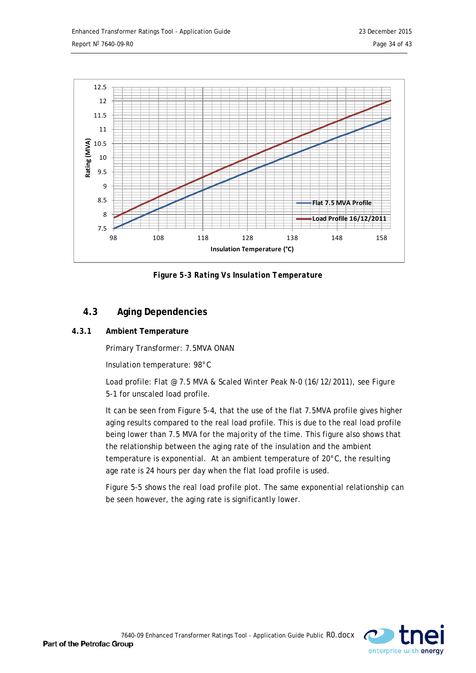

<span id="page-33-2"></span>*Figure 5-3 Rating Vs Insulation Temperature*

# <span id="page-33-0"></span>**4.3 Aging Dependencies**

# <span id="page-33-1"></span>**4.3.1 Ambient Temperature**

Primary Transformer: 7.5MVA ONAN

Insulation temperature: 98°C

Load profile: Flat @ 7.5 MVA & Scaled Winter Peak N-0 (16/12/2011), see *[Figure](#page-31-4)  [5-1](#page-31-4)* for unscaled load profile.

It can be seen from *[Figure 5-4](#page-34-1)*, that the use of the flat 7.5MVA profile gives higher aging results compared to the real load profile. This is due to the real load profile being lower than 7.5 MVA for the majority of the time. This figure also shows that the relationship between the aging rate of the insulation and the ambient temperature is exponential. At an ambient temperature of 20°C, the resulting age rate is 24 hours per day when the flat load profile is used.

[Figure 5-5](#page-34-2) shows the real load profile plot. The same exponential relationship can be seen however, the aging rate is significantly lower.

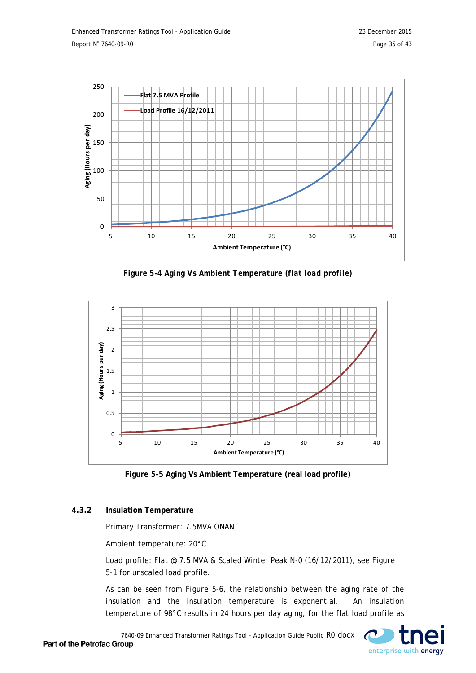<span id="page-34-1"></span>

<span id="page-34-2"></span>*Figure 5-4 Aging Vs Ambient Temperature (flat load profile)*



**Figure 5-5 Aging Vs Ambient Temperature (real load profile)**

# <span id="page-34-0"></span>**4.3.2 Insulation Temperature**

Primary Transformer: 7.5MVA ONAN

Ambient temperature: 20°C

Load profile: Flat @ 7.5 MVA & Scaled Winter Peak N-0 (16/12/2011), see *[Figure](#page-31-4)  [5-1](#page-31-4)* for unscaled load profile.

As can be seen from *[Figure 5-6](#page-35-0)*, the relationship between the aging rate of the insulation and the insulation temperature is exponential. An insulation temperature of 98°C results in 24 hours per day aging, for the flat load profile as

7640-09 Enhanced Transformer Ratings Tool - Application Guide Public R0.docx

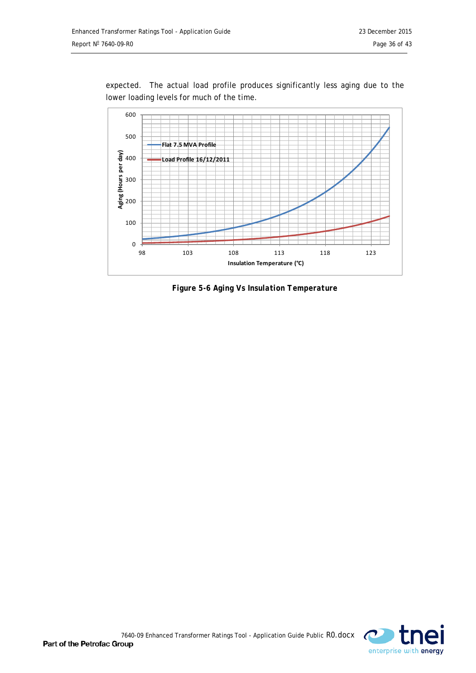

expected. The actual load profile produces significantly less aging due to the lower loading levels for much of the time.

<span id="page-35-0"></span>*Figure 5-6 Aging Vs Insulation Temperature*

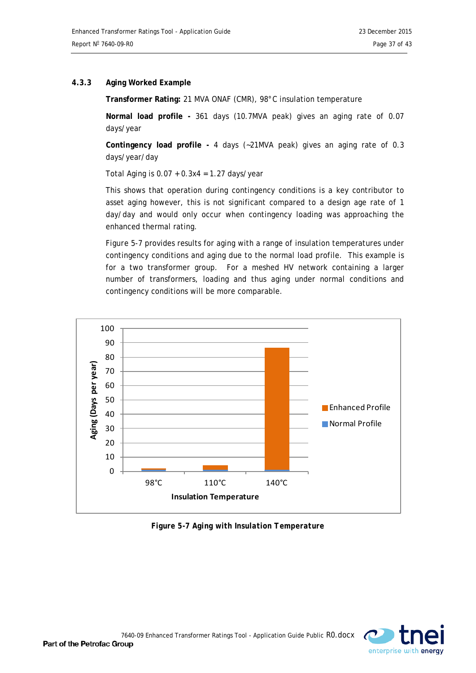#### <span id="page-36-0"></span>**4.3.3 Aging Worked Example**

**Transformer Rating:** 21 MVA ONAF (CMR), 98°C insulation temperature

**Normal load profile -** 361 days (10.7MVA peak) gives an aging rate of 0.07 days/year

**Contingency load profile -** 4 days (~21MVA peak) gives an aging rate of 0.3 days/year/day

Total Aging is  $0.07 + 0.3x4 = 1.27$  days/year

This shows that operation during contingency conditions is a key contributor to asset aging however, this is not significant compared to a design age rate of 1 day/day and would only occur when contingency loading was approaching the enhanced thermal rating.

<span id="page-36-1"></span>*[Figure 5-7](#page-36-1)* provides results for aging with a range of insulation temperatures under contingency conditions and aging due to the normal load profile. This example is for a two transformer group. For a meshed HV network containing a larger number of transformers, loading and thus aging under normal conditions and contingency conditions will be more comparable.



*Figure 5-7 Aging with Insulation Temperature*

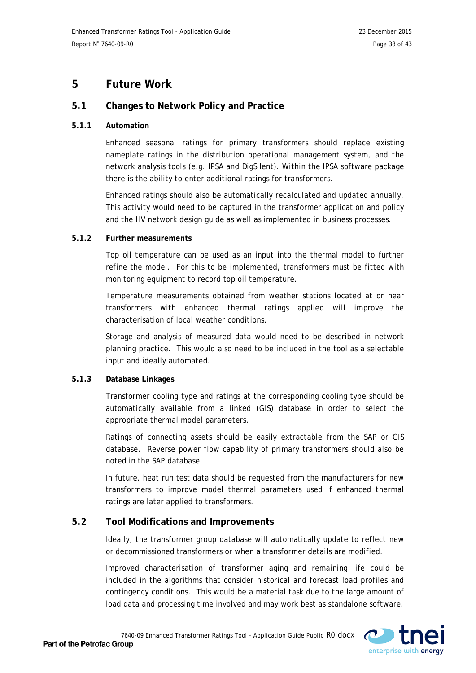# <span id="page-37-0"></span>**5 Future Work**

# <span id="page-37-1"></span>**5.1 Changes to Network Policy and Practice**

#### <span id="page-37-2"></span>**5.1.1 Automation**

Enhanced seasonal ratings for primary transformers should replace existing nameplate ratings in the distribution operational management system, and the network analysis tools (e.g. IPSA and DigSilent). Within the IPSA software package there is the ability to enter additional ratings for transformers.

Enhanced ratings should also be automatically recalculated and updated annually. This activity would need to be captured in the transformer application and policy and the HV network design guide as well as implemented in business processes.

#### <span id="page-37-3"></span>**5.1.2 Further measurements**

Top oil temperature can be used as an input into the thermal model to further refine the model. For this to be implemented, transformers must be fitted with monitoring equipment to record top oil temperature.

Temperature measurements obtained from weather stations located at or near transformers with enhanced thermal ratings applied will improve the characterisation of local weather conditions.

Storage and analysis of measured data would need to be described in network planning practice. This would also need to be included in the tool as a selectable input and ideally automated.

#### <span id="page-37-4"></span>**5.1.3 Database Linkages**

Transformer cooling type and ratings at the corresponding cooling type should be automatically available from a linked (GIS) database in order to select the appropriate thermal model parameters.

Ratings of connecting assets should be easily extractable from the SAP or GIS database. Reverse power flow capability of primary transformers should also be noted in the SAP database.

In future, heat run test data should be requested from the manufacturers for new transformers to improve model thermal parameters used if enhanced thermal ratings are later applied to transformers.

# <span id="page-37-5"></span>**5.2 Tool Modifications and Improvements**

Ideally, the transformer group database will automatically update to reflect new or decommissioned transformers or when a transformer details are modified.

Improved characterisation of transformer aging and remaining life could be included in the algorithms that consider historical and forecast load profiles and contingency conditions. This would be a material task due to the large amount of load data and processing time involved and may work best as standalone software.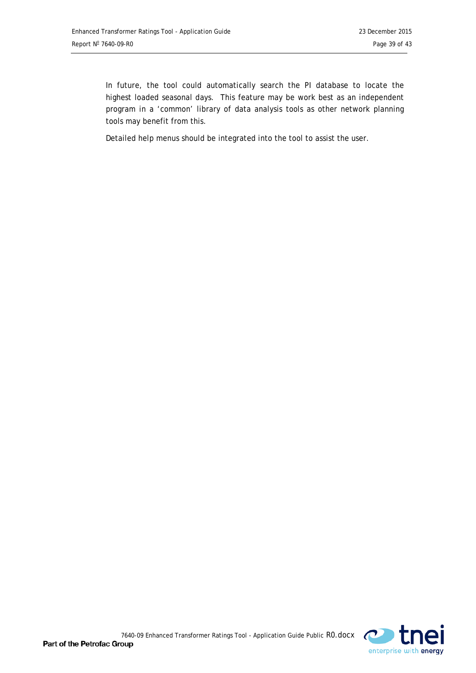In future, the tool could automatically search the PI database to locate the highest loaded seasonal days. This feature may be work best as an independent program in a 'common' library of data analysis tools as other network planning tools may benefit from this.

Detailed help menus should be integrated into the tool to assist the user.

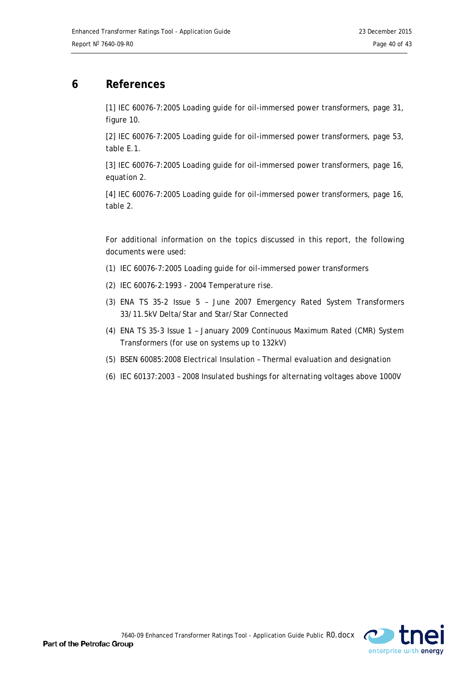# <span id="page-39-0"></span>**6 References**

[1] IEC 60076-7:2005 Loading guide for oil-immersed power transformers, page 31, figure 10.

[2] IEC 60076-7:2005 Loading guide for oil-immersed power transformers, page 53, table E.1.

[3] IEC 60076-7:2005 Loading guide for oil-immersed power transformers, page 16, equation 2.

[4] IEC 60076-7:2005 Loading guide for oil-immersed power transformers, page 16, table 2.

For additional information on the topics discussed in this report, the following documents were used:

- (1) IEC 60076-7:2005 Loading guide for oil-immersed power transformers
- (2) IEC 60076-2:1993 2004 Temperature rise.
- (3) ENA TS 35-2 Issue 5 June 2007 Emergency Rated System Transformers 33/11.5kV Delta/Star and Star/Star Connected
- (4) ENA TS 35-3 Issue 1 January 2009 Continuous Maximum Rated (CMR) System Transformers (for use on systems up to 132kV)
- (5) BSEN 60085:2008 Electrical Insulation Thermal evaluation and designation
- (6) IEC 60137:2003 2008 Insulated bushings for alternating voltages above 1000V



Part of the Petrofac Group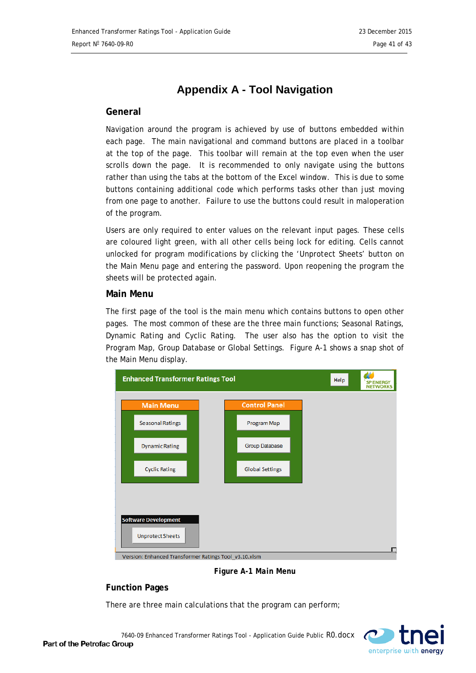# **Appendix A - Tool Navigation**

#### <span id="page-40-0"></span>**General**

Navigation around the program is achieved by use of buttons embedded within each page. The main navigational and command buttons are placed in a toolbar at the top of the page. This toolbar will remain at the top even when the user scrolls down the page. It is recommended to only navigate using the buttons rather than using the tabs at the bottom of the Excel window. This is due to some buttons containing additional code which performs tasks other than just moving from one page to another. Failure to use the buttons could result in maloperation of the program.

Users are only required to enter values on the relevant input pages. These cells are coloured light green, with all other cells being lock for editing. Cells cannot unlocked for program modifications by clicking the 'Unprotect Sheets' button on the Main Menu page and entering the password. Upon reopening the program the sheets will be protected again.

#### **Main Menu**

The first page of the tool is the main menu which contains buttons to open other pages. The most common of these are the three main functions; Seasonal Ratings, Dynamic Rating and Cyclic Rating. The user also has the option to visit the Program Map, Group Database or Global Settings. Figure A-1 shows a snap shot of the Main Menu display.



*Figure A-1 Main Menu*

#### **Function Pages**

There are three main calculations that the program can perform;

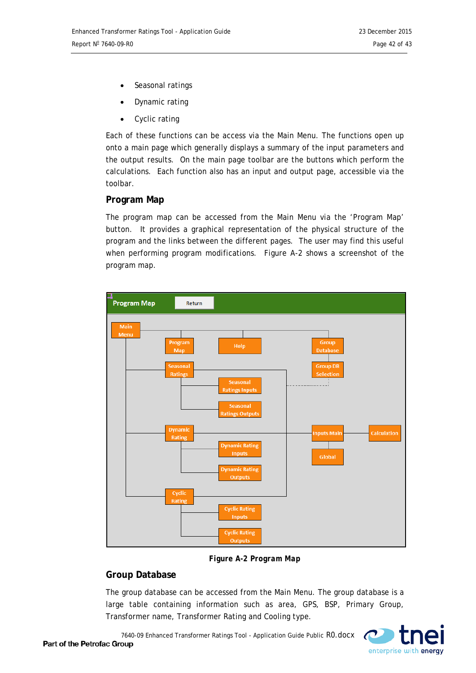- Seasonal ratings
- Dynamic rating
- Cyclic rating

Each of these functions can be access via the Main Menu. The functions open up onto a main page which generally displays a summary of the input parameters and the output results. On the main page toolbar are the buttons which perform the calculations. Each function also has an input and output page, accessible via the toolbar.

# **Program Map**

The program map can be accessed from the Main Menu via the 'Program Map' button. It provides a graphical representation of the physical structure of the program and the links between the different pages. The user may find this useful when performing program modifications. Figure A-2 shows a screenshot of the program map.



*Figure A-2 Program Map*

# **Group Database**

The group database can be accessed from the Main Menu. The group database is a large table containing information such as area, GPS, BSP, Primary Group, Transformer name, Transformer Rating and Cooling type.